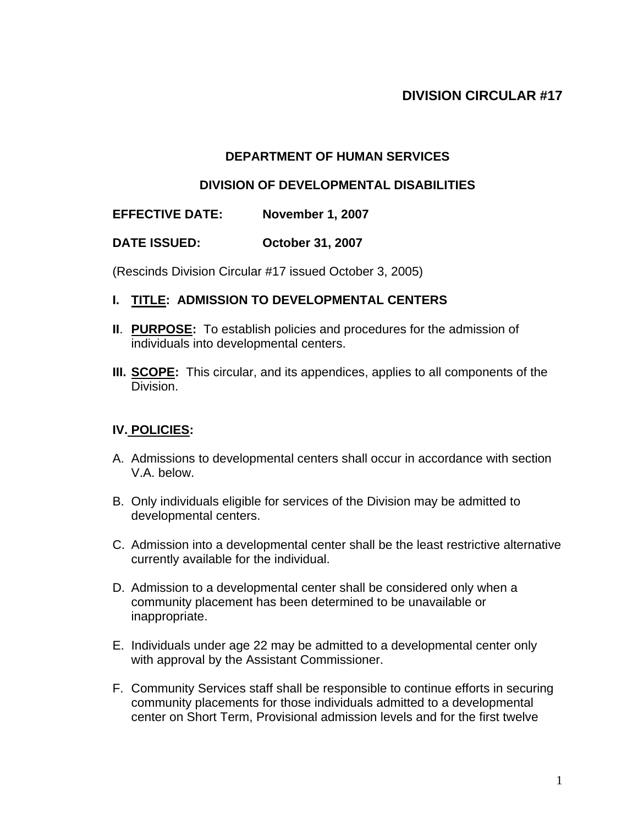# **DIVISION CIRCULAR #17**

## **DEPARTMENT OF HUMAN SERVICES**

#### **DIVISION OF DEVELOPMENTAL DISABILITIES**

#### **EFFECTIVE DATE: November 1, 2007**

#### **DATE ISSUED: October 31, 2007**

(Rescinds Division Circular #17 issued October 3, 2005)

## **I. TITLE: ADMISSION TO DEVELOPMENTAL CENTERS**

- **II**. **PURPOSE:** To establish policies and procedures for the admission of individuals into developmental centers.
- **III. SCOPE:** This circular, and its appendices, applies to all components of the Division.

## **IV. POLICIES:**

- A. Admissions to developmental centers shall occur in accordance with section V.A. below.
- B. Only individuals eligible for services of the Division may be admitted to developmental centers.
- C. Admission into a developmental center shall be the least restrictive alternative currently available for the individual.
- D. Admission to a developmental center shall be considered only when a community placement has been determined to be unavailable or inappropriate.
- E. Individuals under age 22 may be admitted to a developmental center only with approval by the Assistant Commissioner.
- F. Community Services staff shall be responsible to continue efforts in securing community placements for those individuals admitted to a developmental center on Short Term, Provisional admission levels and for the first twelve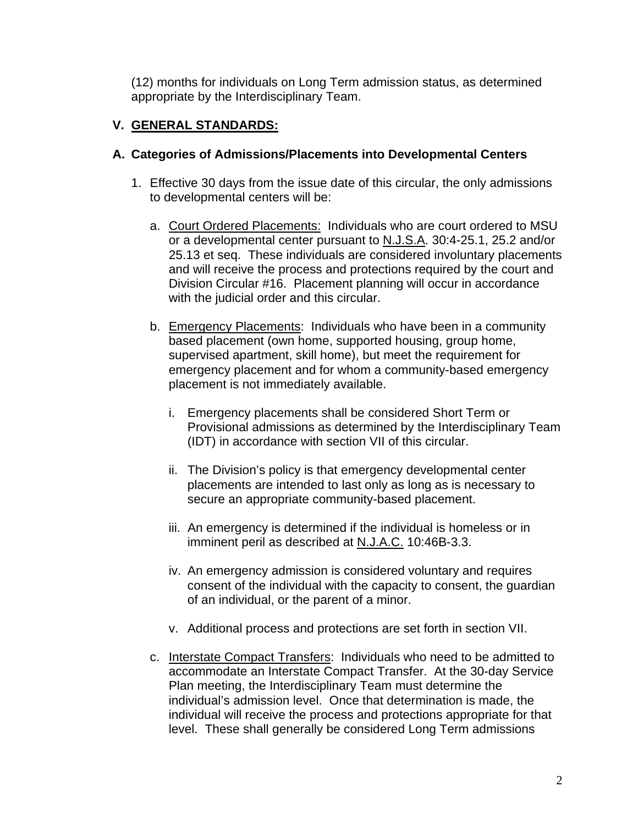(12) months for individuals on Long Term admission status, as determined appropriate by the Interdisciplinary Team.

# **V. GENERAL STANDARDS:**

## **A. Categories of Admissions/Placements into Developmental Centers**

- 1. Effective 30 days from the issue date of this circular, the only admissions to developmental centers will be:
	- a. Court Ordered Placements: Individuals who are court ordered to MSU or a developmental center pursuant to N.J.S.A. 30:4-25.1, 25.2 and/or 25.13 et seq. These individuals are considered involuntary placements and will receive the process and protections required by the court and Division Circular #16. Placement planning will occur in accordance with the judicial order and this circular.
	- b. Emergency Placements: Individuals who have been in a community based placement (own home, supported housing, group home, supervised apartment, skill home), but meet the requirement for emergency placement and for whom a community-based emergency placement is not immediately available.
		- i. Emergency placements shall be considered Short Term or Provisional admissions as determined by the Interdisciplinary Team (IDT) in accordance with section VII of this circular.
		- ii. The Division's policy is that emergency developmental center placements are intended to last only as long as is necessary to secure an appropriate community-based placement.
		- iii. An emergency is determined if the individual is homeless or in imminent peril as described at N.J.A.C. 10:46B-3.3.
		- iv. An emergency admission is considered voluntary and requires consent of the individual with the capacity to consent, the guardian of an individual, or the parent of a minor.
		- v. Additional process and protections are set forth in section VII.
	- c. Interstate Compact Transfers: Individuals who need to be admitted to accommodate an Interstate Compact Transfer. At the 30-day Service Plan meeting, the Interdisciplinary Team must determine the individual's admission level. Once that determination is made, the individual will receive the process and protections appropriate for that level. These shall generally be considered Long Term admissions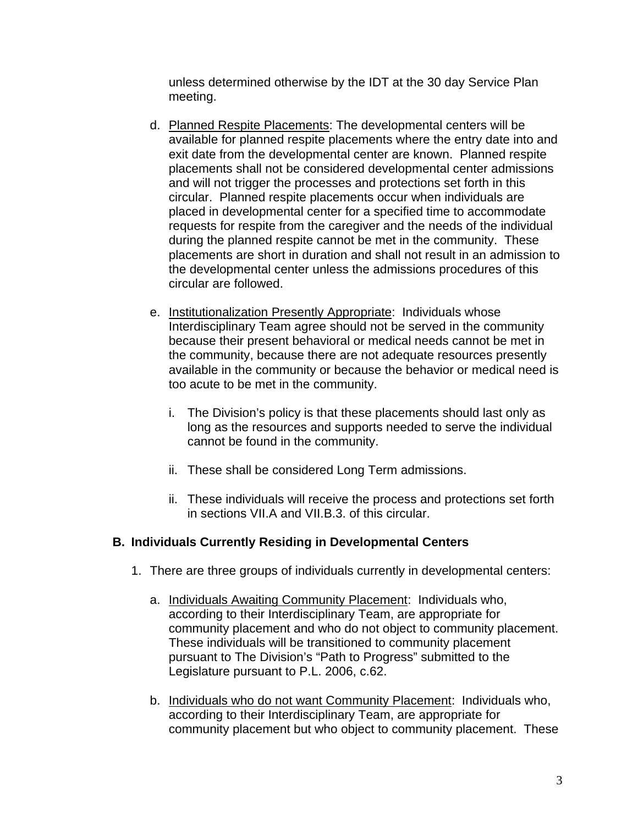unless determined otherwise by the IDT at the 30 day Service Plan meeting.

- d. Planned Respite Placements: The developmental centers will be available for planned respite placements where the entry date into and exit date from the developmental center are known. Planned respite placements shall not be considered developmental center admissions and will not trigger the processes and protections set forth in this circular. Planned respite placements occur when individuals are placed in developmental center for a specified time to accommodate requests for respite from the caregiver and the needs of the individual during the planned respite cannot be met in the community. These placements are short in duration and shall not result in an admission to the developmental center unless the admissions procedures of this circular are followed.
- e. Institutionalization Presently Appropriate: Individuals whose Interdisciplinary Team agree should not be served in the community because their present behavioral or medical needs cannot be met in the community, because there are not adequate resources presently available in the community or because the behavior or medical need is too acute to be met in the community.
	- i. The Division's policy is that these placements should last only as long as the resources and supports needed to serve the individual cannot be found in the community.
	- ii. These shall be considered Long Term admissions.
	- ii. These individuals will receive the process and protections set forth in sections VII.A and VII.B.3. of this circular.

## **B. Individuals Currently Residing in Developmental Centers**

- 1. There are three groups of individuals currently in developmental centers:
	- a. Individuals Awaiting Community Placement: Individuals who, according to their Interdisciplinary Team, are appropriate for community placement and who do not object to community placement. These individuals will be transitioned to community placement pursuant to The Division's "Path to Progress" submitted to the Legislature pursuant to P.L. 2006, c.62.
	- b. Individuals who do not want Community Placement: Individuals who, according to their Interdisciplinary Team, are appropriate for community placement but who object to community placement. These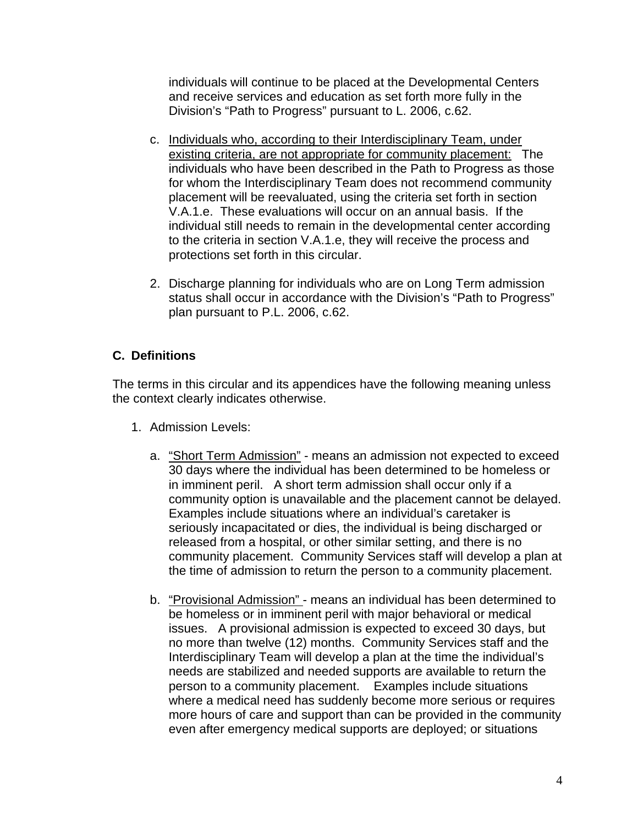individuals will continue to be placed at the Developmental Centers and receive services and education as set forth more fully in the Division's "Path to Progress" pursuant to L. 2006, c.62.

- c. Individuals who, according to their Interdisciplinary Team, under existing criteria, are not appropriate for community placement: The individuals who have been described in the Path to Progress as those for whom the Interdisciplinary Team does not recommend community placement will be reevaluated, using the criteria set forth in section V.A.1.e. These evaluations will occur on an annual basis. If the individual still needs to remain in the developmental center according to the criteria in section V.A.1.e, they will receive the process and protections set forth in this circular.
- 2. Discharge planning for individuals who are on Long Term admission status shall occur in accordance with the Division's "Path to Progress" plan pursuant to P.L. 2006, c.62.

# **C. Definitions**

The terms in this circular and its appendices have the following meaning unless the context clearly indicates otherwise.

- 1. Admission Levels:
	- a. "Short Term Admission" means an admission not expected to exceed 30 days where the individual has been determined to be homeless or in imminent peril. A short term admission shall occur only if a community option is unavailable and the placement cannot be delayed. Examples include situations where an individual's caretaker is seriously incapacitated or dies, the individual is being discharged or released from a hospital, or other similar setting, and there is no community placement. Community Services staff will develop a plan at the time of admission to return the person to a community placement.
	- b. "Provisional Admission" means an individual has been determined to be homeless or in imminent peril with major behavioral or medical issues. A provisional admission is expected to exceed 30 days, but no more than twelve (12) months. Community Services staff and the Interdisciplinary Team will develop a plan at the time the individual's needs are stabilized and needed supports are available to return the person to a community placement. Examples include situations where a medical need has suddenly become more serious or requires more hours of care and support than can be provided in the community even after emergency medical supports are deployed; or situations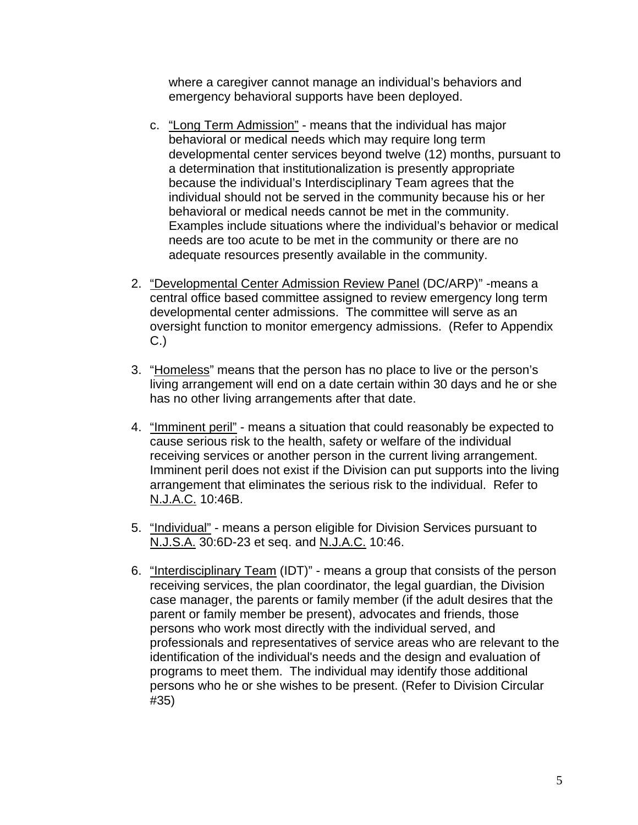where a caregiver cannot manage an individual's behaviors and emergency behavioral supports have been deployed.

- c. "Long Term Admission" means that the individual has major behavioral or medical needs which may require long term developmental center services beyond twelve (12) months, pursuant to a determination that institutionalization is presently appropriate because the individual's Interdisciplinary Team agrees that the individual should not be served in the community because his or her behavioral or medical needs cannot be met in the community. Examples include situations where the individual's behavior or medical needs are too acute to be met in the community or there are no adequate resources presently available in the community.
- 2. "Developmental Center Admission Review Panel (DC/ARP)" -means a central office based committee assigned to review emergency long term developmental center admissions. The committee will serve as an oversight function to monitor emergency admissions. (Refer to Appendix C.)
- 3. "Homeless" means that the person has no place to live or the person's living arrangement will end on a date certain within 30 days and he or she has no other living arrangements after that date.
- 4. "Imminent peril" means a situation that could reasonably be expected to cause serious risk to the health, safety or welfare of the individual receiving services or another person in the current living arrangement. Imminent peril does not exist if the Division can put supports into the living arrangement that eliminates the serious risk to the individual. Refer to N.J.A.C. 10:46B.
- 5. "Individual" means a person eligible for Division Services pursuant to N.J.S.A. 30:6D-23 et seq. and N.J.A.C. 10:46.
- 6. "Interdisciplinary Team (IDT)" means a group that consists of the person receiving services, the plan coordinator, the legal guardian, the Division case manager, the parents or family member (if the adult desires that the parent or family member be present), advocates and friends, those persons who work most directly with the individual served, and professionals and representatives of service areas who are relevant to the identification of the individual's needs and the design and evaluation of programs to meet them. The individual may identify those additional persons who he or she wishes to be present. (Refer to Division Circular #35)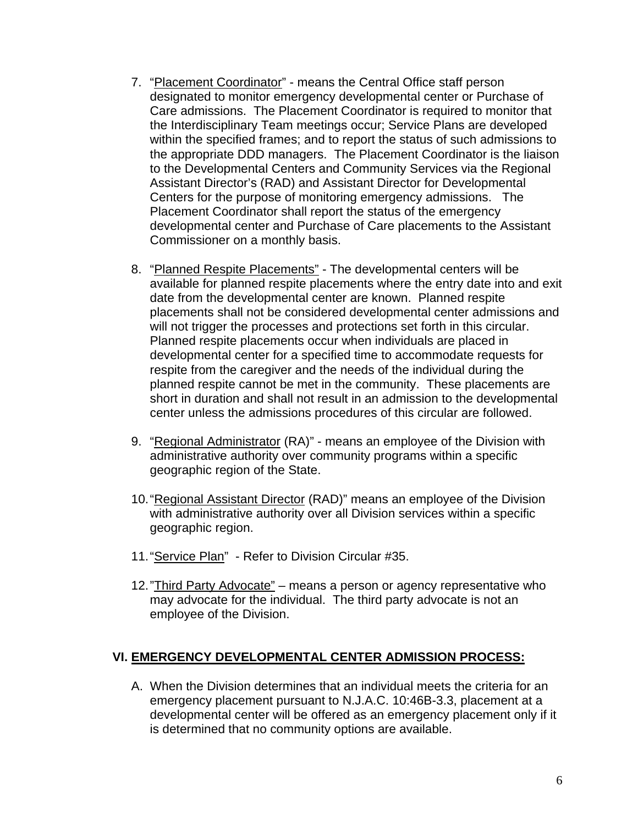- 7. "Placement Coordinator" means the Central Office staff person designated to monitor emergency developmental center or Purchase of Care admissions. The Placement Coordinator is required to monitor that the Interdisciplinary Team meetings occur; Service Plans are developed within the specified frames; and to report the status of such admissions to the appropriate DDD managers. The Placement Coordinator is the liaison to the Developmental Centers and Community Services via the Regional Assistant Director's (RAD) and Assistant Director for Developmental Centers for the purpose of monitoring emergency admissions. The Placement Coordinator shall report the status of the emergency developmental center and Purchase of Care placements to the Assistant Commissioner on a monthly basis.
- 8. "Planned Respite Placements" The developmental centers will be available for planned respite placements where the entry date into and exit date from the developmental center are known. Planned respite placements shall not be considered developmental center admissions and will not trigger the processes and protections set forth in this circular. Planned respite placements occur when individuals are placed in developmental center for a specified time to accommodate requests for respite from the caregiver and the needs of the individual during the planned respite cannot be met in the community. These placements are short in duration and shall not result in an admission to the developmental center unless the admissions procedures of this circular are followed.
- 9. "Regional Administrator (RA)" means an employee of the Division with administrative authority over community programs within a specific geographic region of the State.
- 10. "Regional Assistant Director (RAD)" means an employee of the Division with administrative authority over all Division services within a specific geographic region.
- 11. "Service Plan" Refer to Division Circular #35.
- 12. "Third Party Advocate" means a person or agency representative who may advocate for the individual. The third party advocate is not an employee of the Division.

## **VI. EMERGENCY DEVELOPMENTAL CENTER ADMISSION PROCESS:**

A. When the Division determines that an individual meets the criteria for an emergency placement pursuant to N.J.A.C. 10:46B-3.3, placement at a developmental center will be offered as an emergency placement only if it is determined that no community options are available.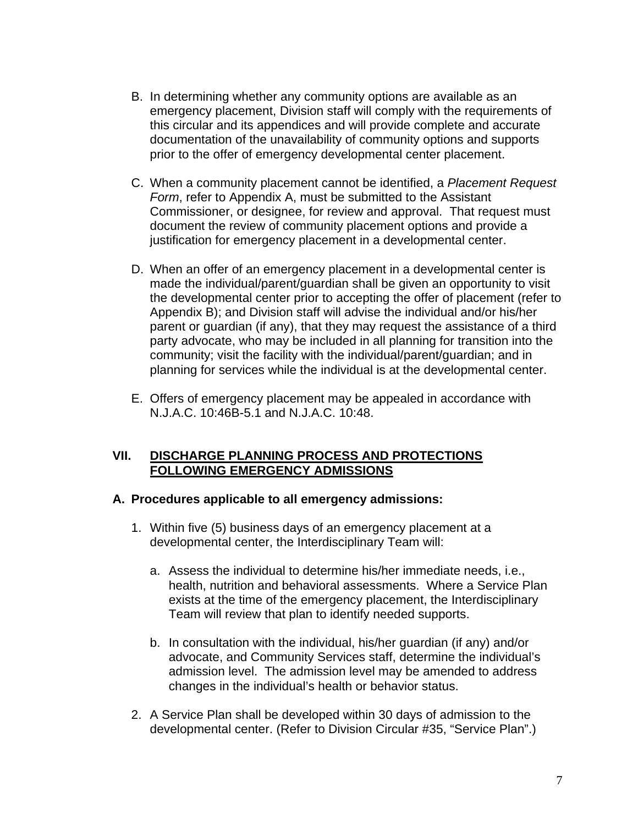- B. In determining whether any community options are available as an emergency placement, Division staff will comply with the requirements of this circular and its appendices and will provide complete and accurate documentation of the unavailability of community options and supports prior to the offer of emergency developmental center placement.
- C. When a community placement cannot be identified, a *Placement Request Form*, refer to Appendix A, must be submitted to the Assistant Commissioner, or designee, for review and approval. That request must document the review of community placement options and provide a justification for emergency placement in a developmental center.
- D. When an offer of an emergency placement in a developmental center is made the individual/parent/guardian shall be given an opportunity to visit the developmental center prior to accepting the offer of placement (refer to Appendix B); and Division staff will advise the individual and/or his/her parent or guardian (if any), that they may request the assistance of a third party advocate, who may be included in all planning for transition into the community; visit the facility with the individual/parent/guardian; and in planning for services while the individual is at the developmental center.
- E. Offers of emergency placement may be appealed in accordance with N.J.A.C. 10:46B-5.1 and N.J.A.C. 10:48.

## **VII. DISCHARGE PLANNING PROCESS AND PROTECTIONS FOLLOWING EMERGENCY ADMISSIONS**

## **A. Procedures applicable to all emergency admissions:**

- 1. Within five (5) business days of an emergency placement at a developmental center, the Interdisciplinary Team will:
	- a. Assess the individual to determine his/her immediate needs, i.e., health, nutrition and behavioral assessments. Where a Service Plan exists at the time of the emergency placement, the Interdisciplinary Team will review that plan to identify needed supports.
	- b. In consultation with the individual, his/her guardian (if any) and/or advocate, and Community Services staff, determine the individual's admission level. The admission level may be amended to address changes in the individual's health or behavior status.
- 2. A Service Plan shall be developed within 30 days of admission to the developmental center. (Refer to Division Circular #35, "Service Plan".)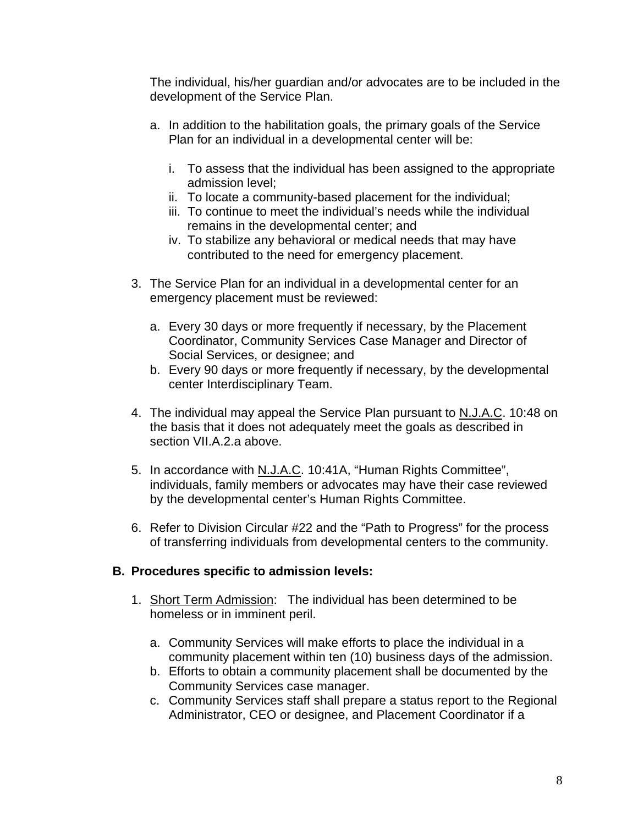The individual, his/her guardian and/or advocates are to be included in the development of the Service Plan.

- a. In addition to the habilitation goals, the primary goals of the Service Plan for an individual in a developmental center will be:
	- i. To assess that the individual has been assigned to the appropriate admission level;
	- ii. To locate a community-based placement for the individual;
	- iii. To continue to meet the individual's needs while the individual remains in the developmental center; and
	- iv. To stabilize any behavioral or medical needs that may have contributed to the need for emergency placement.
- 3. The Service Plan for an individual in a developmental center for an emergency placement must be reviewed:
	- a. Every 30 days or more frequently if necessary, by the Placement Coordinator, Community Services Case Manager and Director of Social Services, or designee; and
	- b. Every 90 days or more frequently if necessary, by the developmental center Interdisciplinary Team.
- 4. The individual may appeal the Service Plan pursuant to N.J.A.C. 10:48 on the basis that it does not adequately meet the goals as described in section VII.A.2.a above.
- 5. In accordance with N.J.A.C. 10:41A, "Human Rights Committee", individuals, family members or advocates may have their case reviewed by the developmental center's Human Rights Committee.
- 6. Refer to Division Circular #22 and the "Path to Progress" for the process of transferring individuals from developmental centers to the community.

## **B. Procedures specific to admission levels:**

- 1. Short Term Admission: The individual has been determined to be homeless or in imminent peril.
	- a. Community Services will make efforts to place the individual in a community placement within ten (10) business days of the admission.
	- b. Efforts to obtain a community placement shall be documented by the Community Services case manager.
	- c. Community Services staff shall prepare a status report to the Regional Administrator, CEO or designee, and Placement Coordinator if a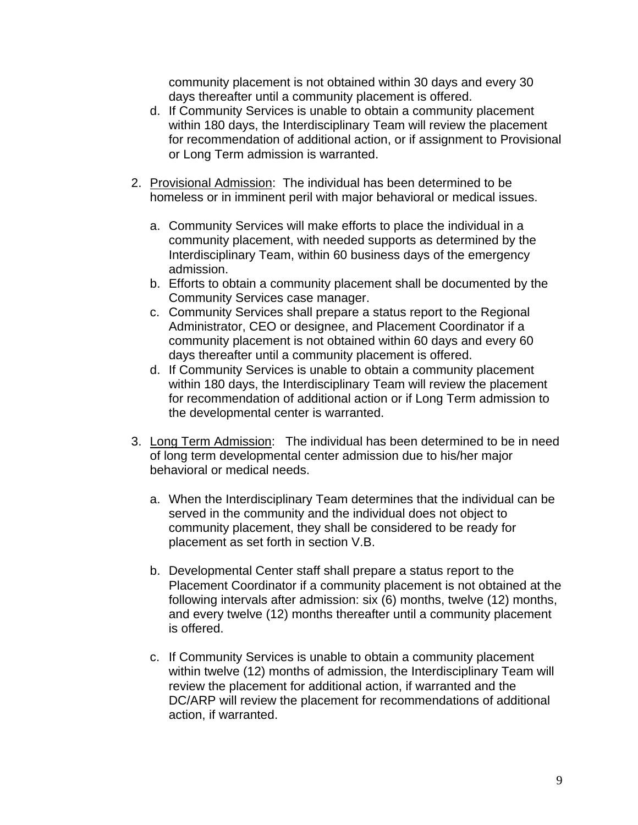community placement is not obtained within 30 days and every 30 days thereafter until a community placement is offered.

- d. If Community Services is unable to obtain a community placement within 180 days, the Interdisciplinary Team will review the placement for recommendation of additional action, or if assignment to Provisional or Long Term admission is warranted.
- 2. Provisional Admission: The individual has been determined to be homeless or in imminent peril with major behavioral or medical issues.
	- a. Community Services will make efforts to place the individual in a community placement, with needed supports as determined by the Interdisciplinary Team, within 60 business days of the emergency admission.
	- b. Efforts to obtain a community placement shall be documented by the Community Services case manager.
	- c. Community Services shall prepare a status report to the Regional Administrator, CEO or designee, and Placement Coordinator if a community placement is not obtained within 60 days and every 60 days thereafter until a community placement is offered.
	- d. If Community Services is unable to obtain a community placement within 180 days, the Interdisciplinary Team will review the placement for recommendation of additional action or if Long Term admission to the developmental center is warranted.
- 3. Long Term Admission: The individual has been determined to be in need of long term developmental center admission due to his/her major behavioral or medical needs.
	- a. When the Interdisciplinary Team determines that the individual can be served in the community and the individual does not object to community placement, they shall be considered to be ready for placement as set forth in section V.B.
	- b. Developmental Center staff shall prepare a status report to the Placement Coordinator if a community placement is not obtained at the following intervals after admission: six (6) months, twelve (12) months, and every twelve (12) months thereafter until a community placement is offered.
	- c. If Community Services is unable to obtain a community placement within twelve (12) months of admission, the Interdisciplinary Team will review the placement for additional action, if warranted and the DC/ARP will review the placement for recommendations of additional action, if warranted.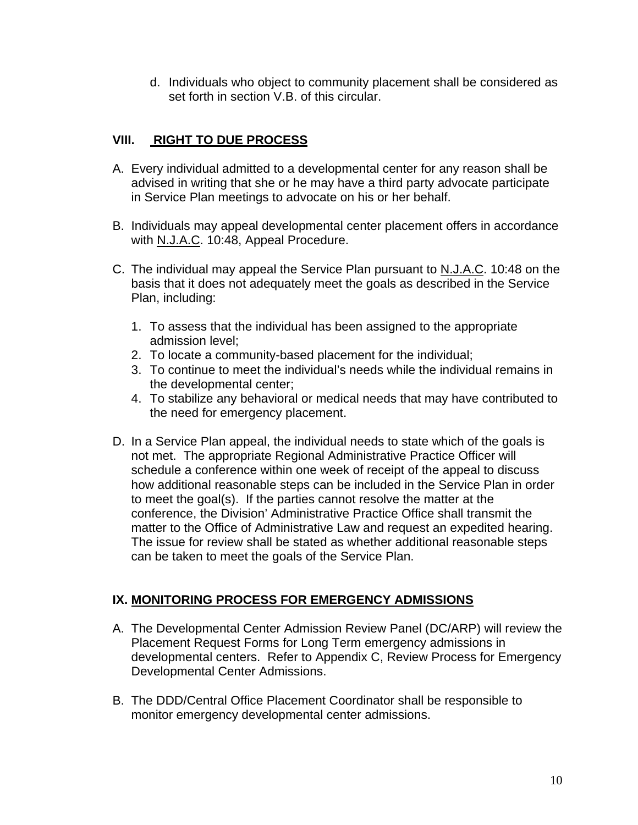d. Individuals who object to community placement shall be considered as set forth in section V.B. of this circular.

# **VIII. RIGHT TO DUE PROCESS**

- A. Every individual admitted to a developmental center for any reason shall be advised in writing that she or he may have a third party advocate participate in Service Plan meetings to advocate on his or her behalf.
- B. Individuals may appeal developmental center placement offers in accordance with N.J.A.C. 10:48, Appeal Procedure.
- C. The individual may appeal the Service Plan pursuant to N.J.A.C. 10:48 on the basis that it does not adequately meet the goals as described in the Service Plan, including:
	- 1. To assess that the individual has been assigned to the appropriate admission level;
	- 2. To locate a community-based placement for the individual;
	- 3. To continue to meet the individual's needs while the individual remains in the developmental center;
	- 4. To stabilize any behavioral or medical needs that may have contributed to the need for emergency placement.
- D. In a Service Plan appeal, the individual needs to state which of the goals is not met. The appropriate Regional Administrative Practice Officer will schedule a conference within one week of receipt of the appeal to discuss how additional reasonable steps can be included in the Service Plan in order to meet the goal(s). If the parties cannot resolve the matter at the conference, the Division' Administrative Practice Office shall transmit the matter to the Office of Administrative Law and request an expedited hearing. The issue for review shall be stated as whether additional reasonable steps can be taken to meet the goals of the Service Plan.

## **IX. MONITORING PROCESS FOR EMERGENCY ADMISSIONS**

- A. The Developmental Center Admission Review Panel (DC/ARP) will review the Placement Request Forms for Long Term emergency admissions in developmental centers. Refer to Appendix C, Review Process for Emergency Developmental Center Admissions.
- B. The DDD/Central Office Placement Coordinator shall be responsible to monitor emergency developmental center admissions.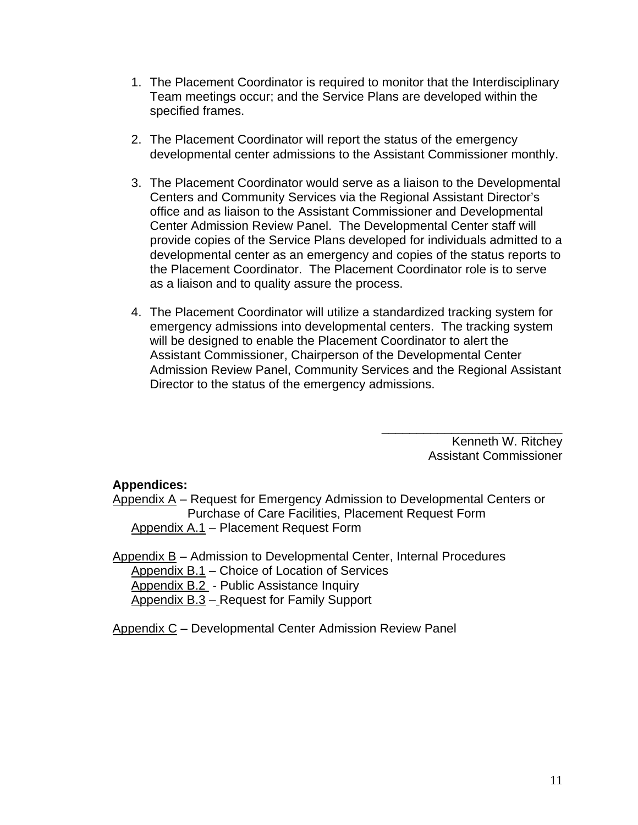- 1. The Placement Coordinator is required to monitor that the Interdisciplinary Team meetings occur; and the Service Plans are developed within the specified frames.
- 2. The Placement Coordinator will report the status of the emergency developmental center admissions to the Assistant Commissioner monthly.
- 3. The Placement Coordinator would serve as a liaison to the Developmental Centers and Community Services via the Regional Assistant Director's office and as liaison to the Assistant Commissioner and Developmental Center Admission Review Panel. The Developmental Center staff will provide copies of the Service Plans developed for individuals admitted to a developmental center as an emergency and copies of the status reports to the Placement Coordinator. The Placement Coordinator role is to serve as a liaison and to quality assure the process.
- 4. The Placement Coordinator will utilize a standardized tracking system for emergency admissions into developmental centers. The tracking system will be designed to enable the Placement Coordinator to alert the Assistant Commissioner, Chairperson of the Developmental Center Admission Review Panel, Community Services and the Regional Assistant Director to the status of the emergency admissions.

Kenneth W. Ritchey Assistant Commissioner

\_\_\_\_\_\_\_\_\_\_\_\_\_\_\_\_\_\_\_\_\_\_\_\_\_\_

#### **Appendices:**

Appendix A – Request for Emergency Admission to Developmental Centers or Purchase of Care Facilities, Placement Request Form Appendix A.1 - Placement Request Form

Appendix B – Admission to Developmental Center, Internal Procedures Appendix B.1 – Choice of Location of Services Appendix B.2 - Public Assistance Inquiry Appendix B.3 - Request for Family Support

Appendix C – Developmental Center Admission Review Panel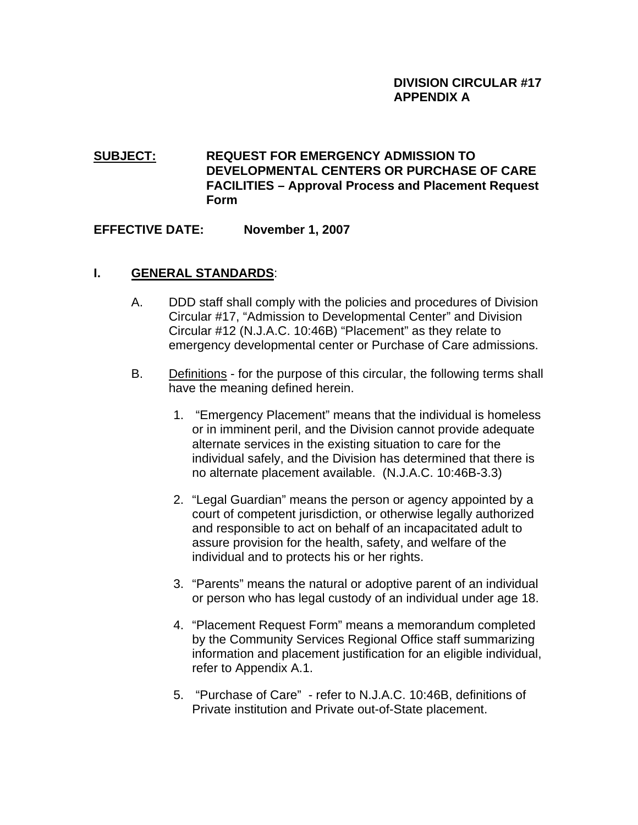# **SUBJECT: REQUEST FOR EMERGENCY ADMISSION TO DEVELOPMENTAL CENTERS OR PURCHASE OF CARE FACILITIES – Approval Process and Placement Request Form**

## **EFFECTIVE DATE: November 1, 2007**

## **I. GENERAL STANDARDS**:

- A. DDD staff shall comply with the policies and procedures of Division Circular #17, "Admission to Developmental Center" and Division Circular #12 (N.J.A.C. 10:46B) "Placement" as they relate to emergency developmental center or Purchase of Care admissions.
- B. Definitions for the purpose of this circular, the following terms shall have the meaning defined herein.
	- 1. "Emergency Placement" means that the individual is homeless or in imminent peril, and the Division cannot provide adequate alternate services in the existing situation to care for the individual safely, and the Division has determined that there is no alternate placement available. (N.J.A.C. 10:46B-3.3)
	- 2. "Legal Guardian" means the person or agency appointed by a court of competent jurisdiction, or otherwise legally authorized and responsible to act on behalf of an incapacitated adult to assure provision for the health, safety, and welfare of the individual and to protects his or her rights.
	- 3. "Parents" means the natural or adoptive parent of an individual or person who has legal custody of an individual under age 18.
	- 4. "Placement Request Form" means a memorandum completed by the Community Services Regional Office staff summarizing information and placement justification for an eligible individual, refer to Appendix A.1.
	- 5. "Purchase of Care" refer to N.J.A.C. 10:46B, definitions of Private institution and Private out-of-State placement.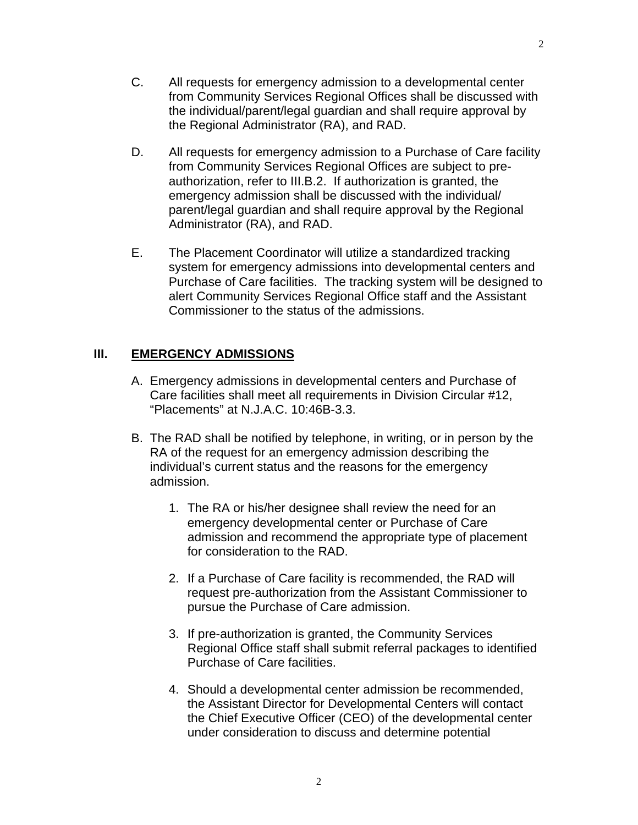- C. All requests for emergency admission to a developmental center from Community Services Regional Offices shall be discussed with the individual/parent/legal guardian and shall require approval by the Regional Administrator (RA), and RAD.
- D. All requests for emergency admission to a Purchase of Care facility from Community Services Regional Offices are subject to preauthorization, refer to III.B.2. If authorization is granted, the emergency admission shall be discussed with the individual/ parent/legal guardian and shall require approval by the Regional Administrator (RA), and RAD.
- E. The Placement Coordinator will utilize a standardized tracking system for emergency admissions into developmental centers and Purchase of Care facilities. The tracking system will be designed to alert Community Services Regional Office staff and the Assistant Commissioner to the status of the admissions.

#### **III. EMERGENCY ADMISSIONS**

- A. Emergency admissions in developmental centers and Purchase of Care facilities shall meet all requirements in Division Circular #12, "Placements" at N.J.A.C. 10:46B-3.3.
- B. The RAD shall be notified by telephone, in writing, or in person by the RA of the request for an emergency admission describing the individual's current status and the reasons for the emergency admission.
	- 1. The RA or his/her designee shall review the need for an emergency developmental center or Purchase of Care admission and recommend the appropriate type of placement for consideration to the RAD.
	- 2. If a Purchase of Care facility is recommended, the RAD will request pre-authorization from the Assistant Commissioner to pursue the Purchase of Care admission.
	- 3. If pre-authorization is granted, the Community Services Regional Office staff shall submit referral packages to identified Purchase of Care facilities.
	- 4. Should a developmental center admission be recommended, the Assistant Director for Developmental Centers will contact the Chief Executive Officer (CEO) of the developmental center under consideration to discuss and determine potential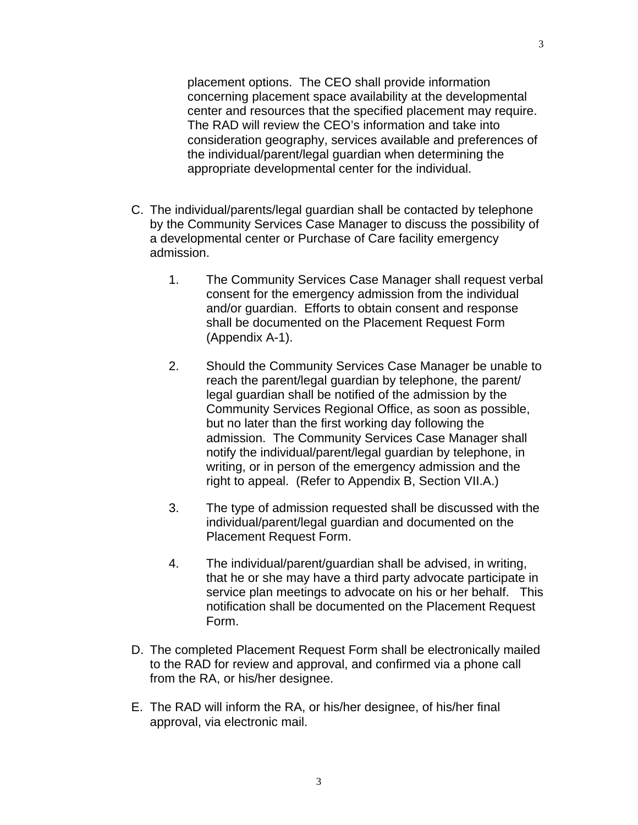placement options. The CEO shall provide information concerning placement space availability at the developmental center and resources that the specified placement may require. The RAD will review the CEO's information and take into consideration geography, services available and preferences of the individual/parent/legal guardian when determining the appropriate developmental center for the individual.

- C. The individual/parents/legal guardian shall be contacted by telephone by the Community Services Case Manager to discuss the possibility of a developmental center or Purchase of Care facility emergency admission.
	- 1. The Community Services Case Manager shall request verbal consent for the emergency admission from the individual and/or guardian. Efforts to obtain consent and response shall be documented on the Placement Request Form (Appendix A-1).
	- 2. Should the Community Services Case Manager be unable to reach the parent/legal guardian by telephone, the parent/ legal guardian shall be notified of the admission by the Community Services Regional Office, as soon as possible, but no later than the first working day following the admission. The Community Services Case Manager shall notify the individual/parent/legal guardian by telephone, in writing, or in person of the emergency admission and the right to appeal. (Refer to Appendix B, Section VII.A.)
	- 3. The type of admission requested shall be discussed with the individual/parent/legal guardian and documented on the Placement Request Form.
	- 4. The individual/parent/guardian shall be advised, in writing, that he or she may have a third party advocate participate in service plan meetings to advocate on his or her behalf. This notification shall be documented on the Placement Request Form.
- D. The completed Placement Request Form shall be electronically mailed to the RAD for review and approval, and confirmed via a phone call from the RA, or his/her designee.
- E. The RAD will inform the RA, or his/her designee, of his/her final approval, via electronic mail.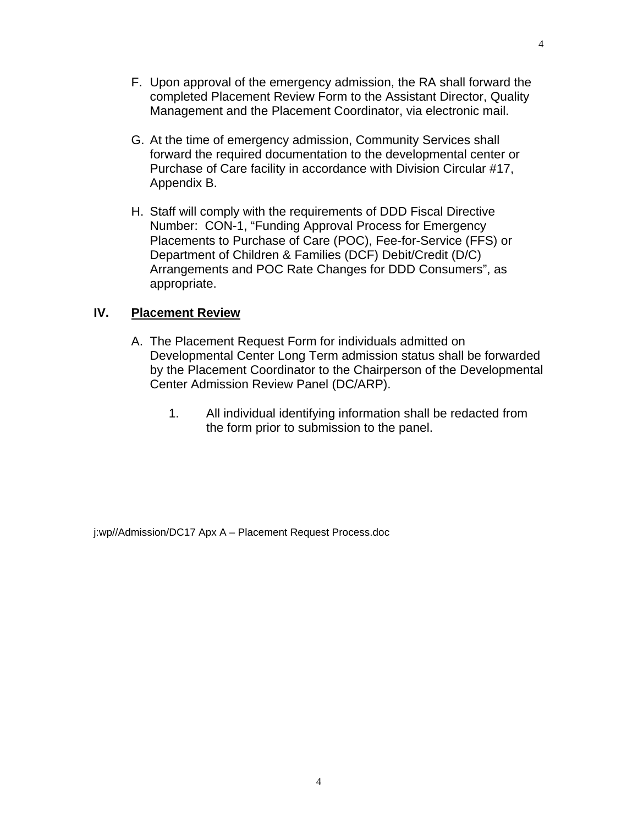- F. Upon approval of the emergency admission, the RA shall forward the completed Placement Review Form to the Assistant Director, Quality Management and the Placement Coordinator, via electronic mail.
- G. At the time of emergency admission, Community Services shall forward the required documentation to the developmental center or Purchase of Care facility in accordance with Division Circular #17, Appendix B.
- H. Staff will comply with the requirements of DDD Fiscal Directive Number: CON-1, "Funding Approval Process for Emergency Placements to Purchase of Care (POC), Fee-for-Service (FFS) or Department of Children & Families (DCF) Debit/Credit (D/C) Arrangements and POC Rate Changes for DDD Consumers", as appropriate.

#### **IV. Placement Review**

- A. The Placement Request Form for individuals admitted on Developmental Center Long Term admission status shall be forwarded by the Placement Coordinator to the Chairperson of the Developmental Center Admission Review Panel (DC/ARP).
	- 1. All individual identifying information shall be redacted from the form prior to submission to the panel.

j:wp//Admission/DC17 Apx A – Placement Request Process.doc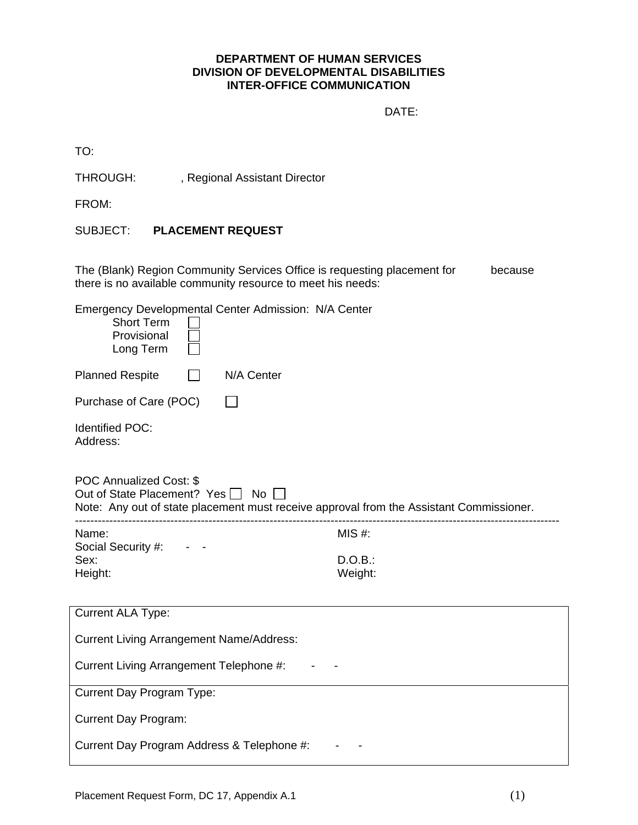#### **DEPARTMENT OF HUMAN SERVICES DIVISION OF DEVELOPMENTAL DISABILITIES INTER-OFFICE COMMUNICATION**

DATE:

TO:

THROUGH: , Regional Assistant Director

FROM:

SUBJECT: **PLACEMENT REQUEST** 

The (Blank) Region Community Services Office is requesting placement for because there is no available community resource to meet his needs:

Emergency Developmental Center Admission: N/A Center

| Emergency Developmental Center Admission: N/A Center<br><b>Short Term</b><br>Provisional<br>Long Term                                                         |                    |  |  |  |
|---------------------------------------------------------------------------------------------------------------------------------------------------------------|--------------------|--|--|--|
| <b>Planned Respite</b><br>N/A Center                                                                                                                          |                    |  |  |  |
| Purchase of Care (POC)                                                                                                                                        |                    |  |  |  |
| <b>Identified POC:</b><br>Address:                                                                                                                            |                    |  |  |  |
| <b>POC Annualized Cost: \$</b><br>Out of State Placement? Yes □ No<br>Note: Any out of state placement must receive approval from the Assistant Commissioner. |                    |  |  |  |
| Name:                                                                                                                                                         | MIS #:             |  |  |  |
| Social Security #:<br>Sex:<br>Height:                                                                                                                         | D.O.B.:<br>Weight: |  |  |  |
| <b>Current ALA Type:</b>                                                                                                                                      |                    |  |  |  |
| <b>Current Living Arrangement Name/Address:</b>                                                                                                               |                    |  |  |  |
| Current Living Arrangement Telephone #:                                                                                                                       |                    |  |  |  |
| Current Day Program Type:                                                                                                                                     |                    |  |  |  |
|                                                                                                                                                               |                    |  |  |  |
| <b>Current Day Program:</b>                                                                                                                                   |                    |  |  |  |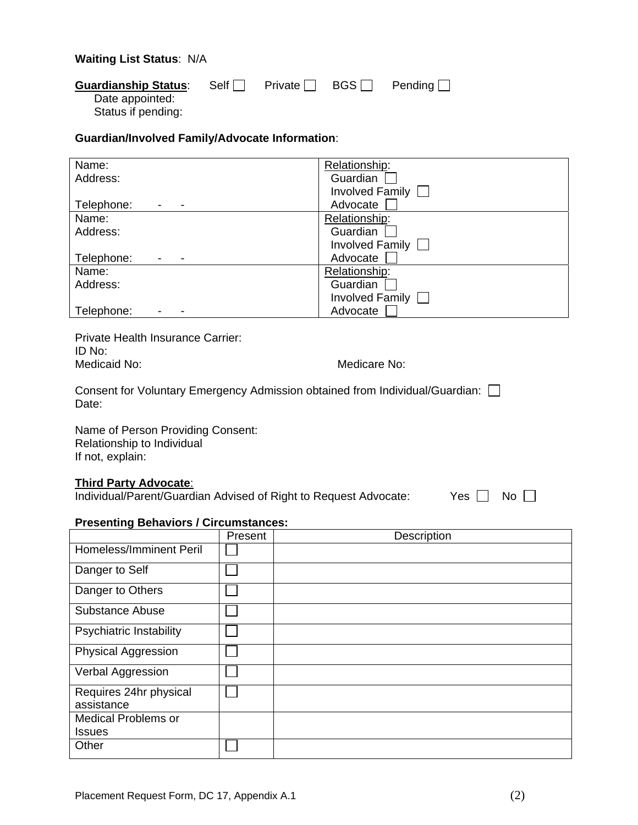#### **Waiting List Status**: N/A

| <b>Guardianship Status:</b>           | Self |  | Private $\Box$ BGS Pending $\Box$ |
|---------------------------------------|------|--|-----------------------------------|
| Date appointed:<br>Status if pending: |      |  |                                   |

#### **Guardian/Involved Family/Advocate Information**:

| Name:                                  | Relationship:   |
|----------------------------------------|-----------------|
| Address:                               | Guardian        |
|                                        | Involved Family |
| Telephone:<br>$\overline{\phantom{0}}$ | Advocate        |
| Name:                                  | Relationship:   |
| Address:                               | Guardian        |
|                                        | Involved Family |
| Telephone:                             | Advocate        |
| Name:                                  | Relationship:   |
| Address:                               | Guardian        |
|                                        | Involved Family |
| Telephone:<br>$\overline{\phantom{a}}$ | Advocate        |

Private Health Insurance Carrier: ID No:<br>Medicaid No:

Medicare No:

Consent for Voluntary Emergency Admission obtained from Individual/Guardian:  $\square$ Date:

Name of Person Providing Consent: Relationship to Individual If not, explain:

#### **Third Party Advocate**:

Individual/Parent/Guardian Advised of Right to Request Advocate: Yes  $\Box$  No  $\Box$ 

#### **Presenting Behaviors / Circumstances:**

|                                      | Present | Description |
|--------------------------------------|---------|-------------|
| <b>Homeless/Imminent Peril</b>       |         |             |
| Danger to Self                       |         |             |
| Danger to Others                     |         |             |
| <b>Substance Abuse</b>               |         |             |
| <b>Psychiatric Instability</b>       |         |             |
| <b>Physical Aggression</b>           |         |             |
| Verbal Aggression                    |         |             |
| Requires 24hr physical<br>assistance |         |             |
| <b>Medical Problems or</b>           |         |             |
| <b>Issues</b>                        |         |             |
| Other                                |         |             |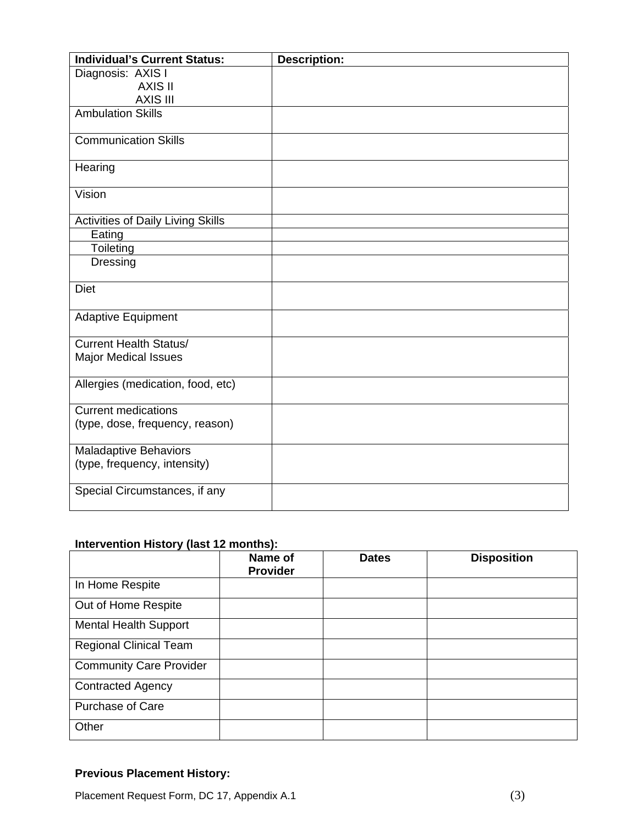| <b>Individual's Current Status:</b>      | <b>Description:</b> |
|------------------------------------------|---------------------|
| Diagnosis: AXIS I                        |                     |
| <b>AXIS II</b>                           |                     |
| <b>AXIS III</b>                          |                     |
| <b>Ambulation Skills</b>                 |                     |
| <b>Communication Skills</b>              |                     |
|                                          |                     |
| Hearing                                  |                     |
|                                          |                     |
| Vision                                   |                     |
| <b>Activities of Daily Living Skills</b> |                     |
| Eating                                   |                     |
| Toileting                                |                     |
| Dressing                                 |                     |
|                                          |                     |
| <b>Diet</b>                              |                     |
| <b>Adaptive Equipment</b>                |                     |
| <b>Current Health Status/</b>            |                     |
| <b>Major Medical Issues</b>              |                     |
|                                          |                     |
| Allergies (medication, food, etc)        |                     |
| <b>Current medications</b>               |                     |
| (type, dose, frequency, reason)          |                     |
|                                          |                     |
| <b>Maladaptive Behaviors</b>             |                     |
| (type, frequency, intensity)             |                     |
| Special Circumstances, if any            |                     |
|                                          |                     |
|                                          |                     |

## **Intervention History (last 12 months):**

|                                | Name of<br><b>Provider</b> | <b>Dates</b> | <b>Disposition</b> |
|--------------------------------|----------------------------|--------------|--------------------|
| In Home Respite                |                            |              |                    |
| Out of Home Respite            |                            |              |                    |
| <b>Mental Health Support</b>   |                            |              |                    |
| <b>Regional Clinical Team</b>  |                            |              |                    |
| <b>Community Care Provider</b> |                            |              |                    |
| <b>Contracted Agency</b>       |                            |              |                    |
| <b>Purchase of Care</b>        |                            |              |                    |
| Other                          |                            |              |                    |

## **Previous Placement History:**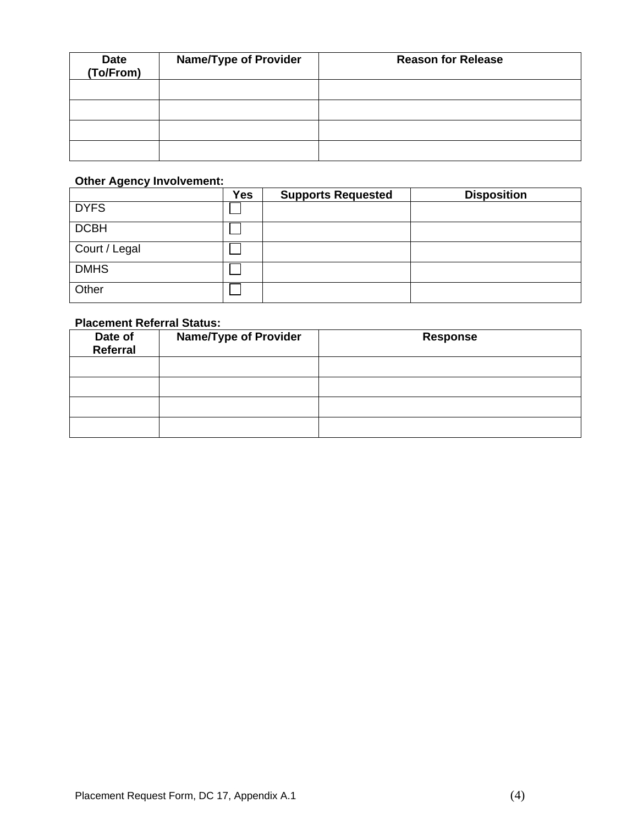| <b>Date</b><br>(To/From) | <b>Name/Type of Provider</b> | <b>Reason for Release</b> |
|--------------------------|------------------------------|---------------------------|
|                          |                              |                           |
|                          |                              |                           |
|                          |                              |                           |
|                          |                              |                           |

# **Other Agency Involvement:**

|               | <b>Yes</b> | <b>Supports Requested</b> | <b>Disposition</b> |
|---------------|------------|---------------------------|--------------------|
| <b>DYFS</b>   |            |                           |                    |
| <b>DCBH</b>   |            |                           |                    |
| Court / Legal |            |                           |                    |
| <b>DMHS</b>   |            |                           |                    |
| Other         |            |                           |                    |

## **Placement Referral Status:**

| Date of<br>Referral | <b>Name/Type of Provider</b> | <b>Response</b> |
|---------------------|------------------------------|-----------------|
|                     |                              |                 |
|                     |                              |                 |
|                     |                              |                 |
|                     |                              |                 |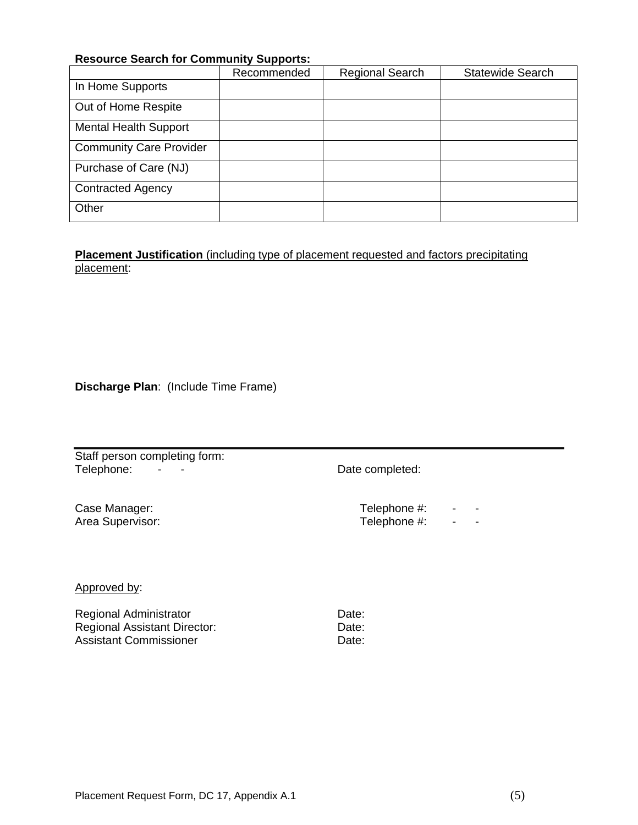#### **Resource Search for Community Supports:**

|                                | Recommended | <b>Regional Search</b> | <b>Statewide Search</b> |
|--------------------------------|-------------|------------------------|-------------------------|
| In Home Supports               |             |                        |                         |
| Out of Home Respite            |             |                        |                         |
| <b>Mental Health Support</b>   |             |                        |                         |
| <b>Community Care Provider</b> |             |                        |                         |
| Purchase of Care (NJ)          |             |                        |                         |
| <b>Contracted Agency</b>       |             |                        |                         |
| Other                          |             |                        |                         |

**Placement Justification** (including type of placement requested and factors precipitating placement:

**Discharge Plan**: (Include Time Frame)

Staff person completing form: Telephone: - - - Date completed:

Case Manager: Area Supervisor: Telephone #: - - -Telephone #: - - -

#### Approved by:

Regional Administrator **Date:** Date: Regional Assistant Director: Date: Date: Assistant Commissioner **Date:** Date: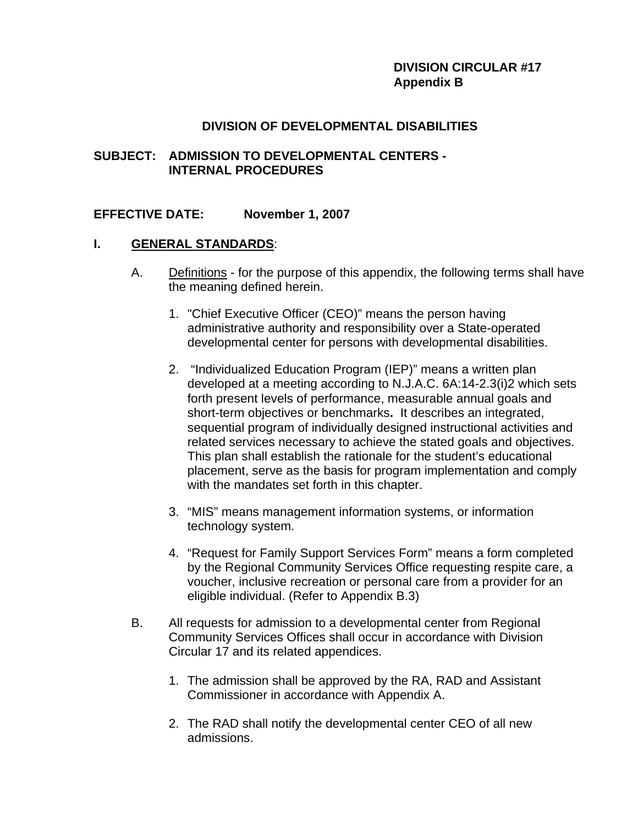## **DIVISION CIRCULAR #17 Appendix B**

#### **DIVISION OF DEVELOPMENTAL DISABILITIES**

#### **SUBJECT: ADMISSION TO DEVELOPMENTAL CENTERS - INTERNAL PROCEDURES**

#### **EFFECTIVE DATE: November 1, 2007**

#### **I. GENERAL STANDARDS**:

- A. Definitions for the purpose of this appendix, the following terms shall have the meaning defined herein.
	- 1. "Chief Executive Officer (CEO)" means the person having administrative authority and responsibility over a State-operated developmental center for persons with developmental disabilities.
	- 2. "Individualized Education Program (IEP)" means a written plan developed at a meeting according to N.J.A.C. 6A:14-2.3(i)2 which sets forth present levels of performance, measurable annual goals and short-term objectives or benchmarks**.** It describes an integrated, sequential program of individually designed instructional activities and related services necessary to achieve the stated goals and objectives. This plan shall establish the rationale for the student's educational placement, serve as the basis for program implementation and comply with the mandates set forth in this chapter.
	- 3. "MIS" means management information systems, or information technology system.
	- 4. "Request for Family Support Services Form" means a form completed by the Regional Community Services Office requesting respite care, a voucher, inclusive recreation or personal care from a provider for an eligible individual. (Refer to Appendix B.3)
- B. All requests for admission to a developmental center from Regional Community Services Offices shall occur in accordance with Division Circular 17 and its related appendices.
	- 1. The admission shall be approved by the RA, RAD and Assistant Commissioner in accordance with Appendix A.
	- 2. The RAD shall notify the developmental center CEO of all new admissions.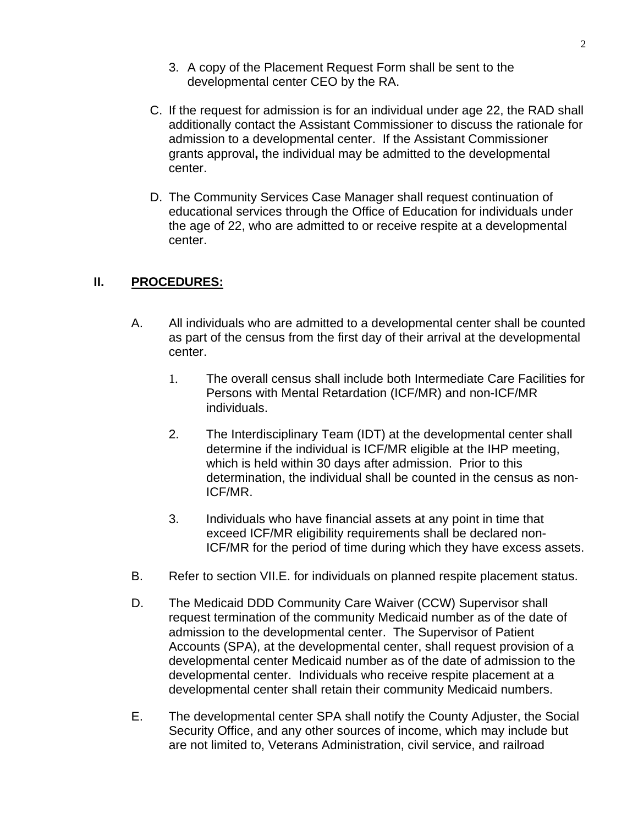- 3. A copy of the Placement Request Form shall be sent to the developmental center CEO by the RA.
- C. If the request for admission is for an individual under age 22, the RAD shall additionally contact the Assistant Commissioner to discuss the rationale for admission to a developmental center. If the Assistant Commissioner grants approval**,** the individual may be admitted to the developmental center.
- D. The Community Services Case Manager shall request continuation of educational services through the Office of Education for individuals under the age of 22, who are admitted to or receive respite at a developmental center.

## **II. PROCEDURES:**

- A. All individuals who are admitted to a developmental center shall be counted as part of the census from the first day of their arrival at the developmental center.
	- 1. The overall census shall include both Intermediate Care Facilities for Persons with Mental Retardation (ICF/MR) and non-ICF/MR individuals.
	- 2. The Interdisciplinary Team (IDT) at the developmental center shall determine if the individual is ICF/MR eligible at the IHP meeting, which is held within 30 days after admission. Prior to this determination, the individual shall be counted in the census as non-ICF/MR.
	- 3. Individuals who have financial assets at any point in time that exceed ICF/MR eligibility requirements shall be declared non-ICF/MR for the period of time during which they have excess assets.
- B. Refer to section VII.E. for individuals on planned respite placement status.
- D. The Medicaid DDD Community Care Waiver (CCW) Supervisor shall request termination of the community Medicaid number as of the date of admission to the developmental center. The Supervisor of Patient Accounts (SPA), at the developmental center, shall request provision of a developmental center Medicaid number as of the date of admission to the developmental center. Individuals who receive respite placement at a developmental center shall retain their community Medicaid numbers.
- E. The developmental center SPA shall notify the County Adjuster, the Social Security Office, and any other sources of income, which may include but are not limited to, Veterans Administration, civil service, and railroad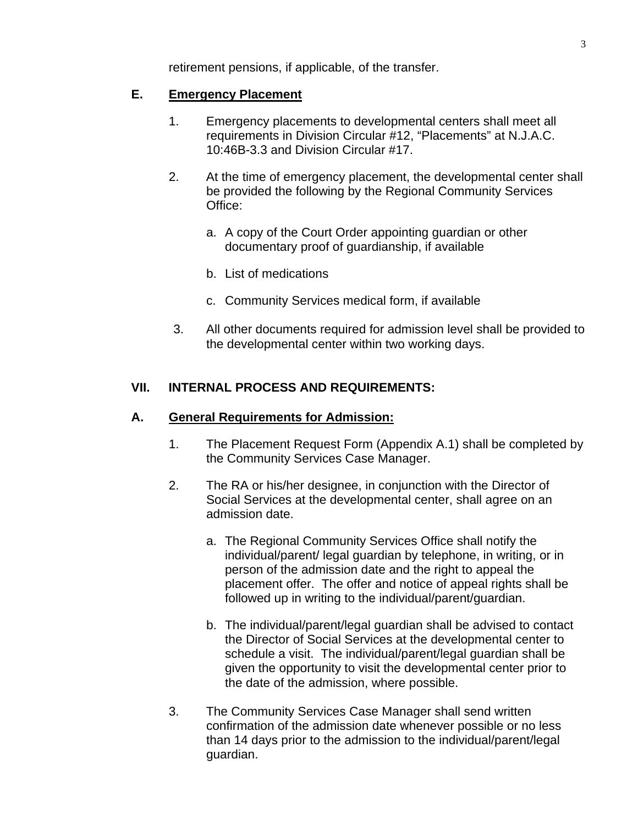retirement pensions, if applicable, of the transfer.

## **E. Emergency Placement**

- 1. Emergency placements to developmental centers shall meet all requirements in Division Circular #12, "Placements" at N.J.A.C. 10:46B-3.3 and Division Circular #17.
- 2. At the time of emergency placement, the developmental center shall be provided the following by the Regional Community Services Office:
	- a. A copy of the Court Order appointing guardian or other documentary proof of guardianship, if available
	- b. List of medications
	- c. Community Services medical form, if available
- 3. All other documents required for admission level shall be provided to the developmental center within two working days.

## **VII. INTERNAL PROCESS AND REQUIREMENTS:**

## **A. General Requirements for Admission:**

- 1. The Placement Request Form (Appendix A.1) shall be completed by the Community Services Case Manager.
- 2. The RA or his/her designee, in conjunction with the Director of Social Services at the developmental center, shall agree on an admission date.
	- a. The Regional Community Services Office shall notify the individual/parent/ legal guardian by telephone, in writing, or in person of the admission date and the right to appeal the placement offer. The offer and notice of appeal rights shall be followed up in writing to the individual/parent/guardian.
	- b. The individual/parent/legal guardian shall be advised to contact the Director of Social Services at the developmental center to schedule a visit. The individual/parent/legal guardian shall be given the opportunity to visit the developmental center prior to the date of the admission, where possible.
- 3. The Community Services Case Manager shall send written confirmation of the admission date whenever possible or no less than 14 days prior to the admission to the individual/parent/legal guardian.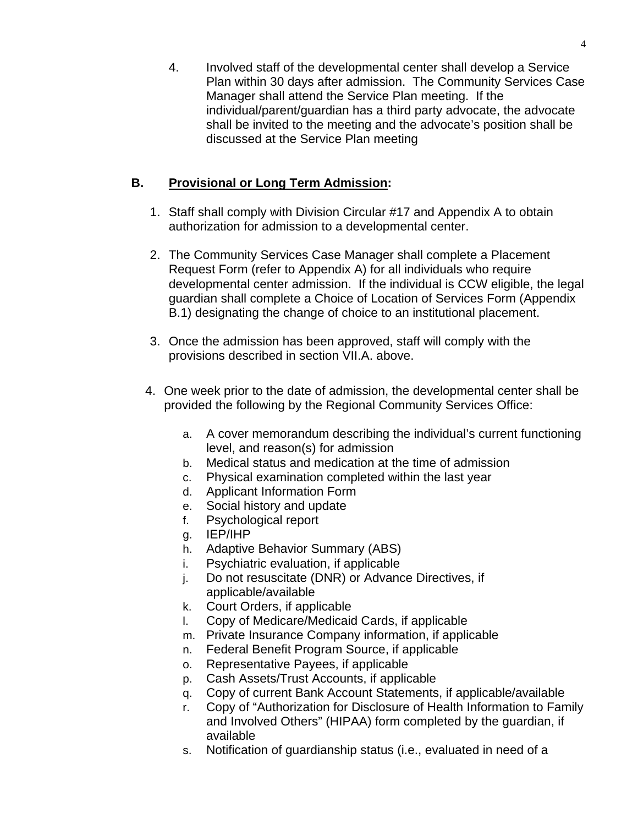4. Involved staff of the developmental center shall develop a Service Plan within 30 days after admission. The Community Services Case Manager shall attend the Service Plan meeting. If the individual/parent/guardian has a third party advocate, the advocate shall be invited to the meeting and the advocate's position shall be discussed at the Service Plan meeting

## **B. Provisional or Long Term Admission:**

- 1. Staff shall comply with Division Circular #17 and Appendix A to obtain authorization for admission to a developmental center.
- 2. The Community Services Case Manager shall complete a Placement Request Form (refer to Appendix A) for all individuals who require developmental center admission. If the individual is CCW eligible, the legal guardian shall complete a Choice of Location of Services Form (Appendix B.1) designating the change of choice to an institutional placement.
- 3. Once the admission has been approved, staff will comply with the provisions described in section VII.A. above.
- 4. One week prior to the date of admission, the developmental center shall be provided the following by the Regional Community Services Office:
	- a. A cover memorandum describing the individual's current functioning level, and reason(s) for admission
	- b. Medical status and medication at the time of admission
	- c. Physical examination completed within the last year
	- d. Applicant Information Form
	- e. Social history and update
	- f. Psychological report
	- g. IEP/IHP
	- h. Adaptive Behavior Summary (ABS)
	- i. Psychiatric evaluation, if applicable
	- j. Do not resuscitate (DNR) or Advance Directives, if applicable/available
	- k. Court Orders, if applicable
	- l. Copy of Medicare/Medicaid Cards, if applicable
	- m. Private Insurance Company information, if applicable
	- n. Federal Benefit Program Source, if applicable
	- o. Representative Payees, if applicable
	- p. Cash Assets/Trust Accounts, if applicable
	- q. Copy of current Bank Account Statements, if applicable/available
	- r. Copy of "Authorization for Disclosure of Health Information to Family and Involved Others" (HIPAA) form completed by the guardian, if available
	- s. Notification of guardianship status (i.e., evaluated in need of a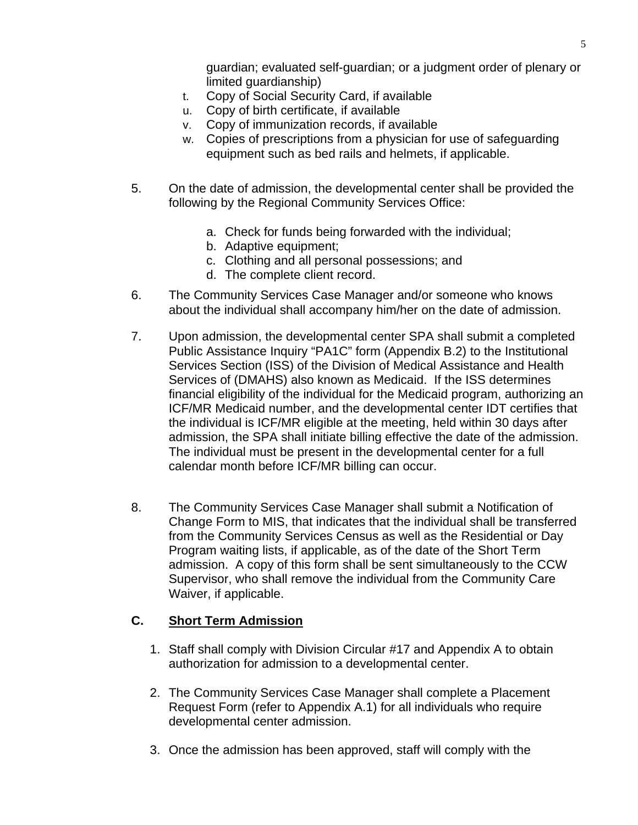guardian; evaluated self-guardian; or a judgment order of plenary or limited guardianship)

- t. Copy of Social Security Card, if available
- u. Copy of birth certificate, if available
- v. Copy of immunization records, if available
- w. Copies of prescriptions from a physician for use of safeguarding equipment such as bed rails and helmets, if applicable.
- 5. On the date of admission, the developmental center shall be provided the following by the Regional Community Services Office:
	- a. Check for funds being forwarded with the individual;
	- b. Adaptive equipment;
	- c. Clothing and all personal possessions; and
	- d. The complete client record.
- 6. The Community Services Case Manager and/or someone who knows about the individual shall accompany him/her on the date of admission.
- 7. Upon admission, the developmental center SPA shall submit a completed Public Assistance Inquiry "PA1C" form (Appendix B.2) to the Institutional Services Section (ISS) of the Division of Medical Assistance and Health Services of (DMAHS) also known as Medicaid. If the ISS determines financial eligibility of the individual for the Medicaid program, authorizing an ICF/MR Medicaid number, and the developmental center IDT certifies that the individual is ICF/MR eligible at the meeting, held within 30 days after admission, the SPA shall initiate billing effective the date of the admission. The individual must be present in the developmental center for a full calendar month before ICF/MR billing can occur.
- 8. The Community Services Case Manager shall submit a Notification of Change Form to MIS, that indicates that the individual shall be transferred from the Community Services Census as well as the Residential or Day Program waiting lists, if applicable, as of the date of the Short Term admission. A copy of this form shall be sent simultaneously to the CCW Supervisor, who shall remove the individual from the Community Care Waiver, if applicable.

## **C. Short Term Admission**

- 1. Staff shall comply with Division Circular #17 and Appendix A to obtain authorization for admission to a developmental center.
- 2. The Community Services Case Manager shall complete a Placement Request Form (refer to Appendix A.1) for all individuals who require developmental center admission.
- 3. Once the admission has been approved, staff will comply with the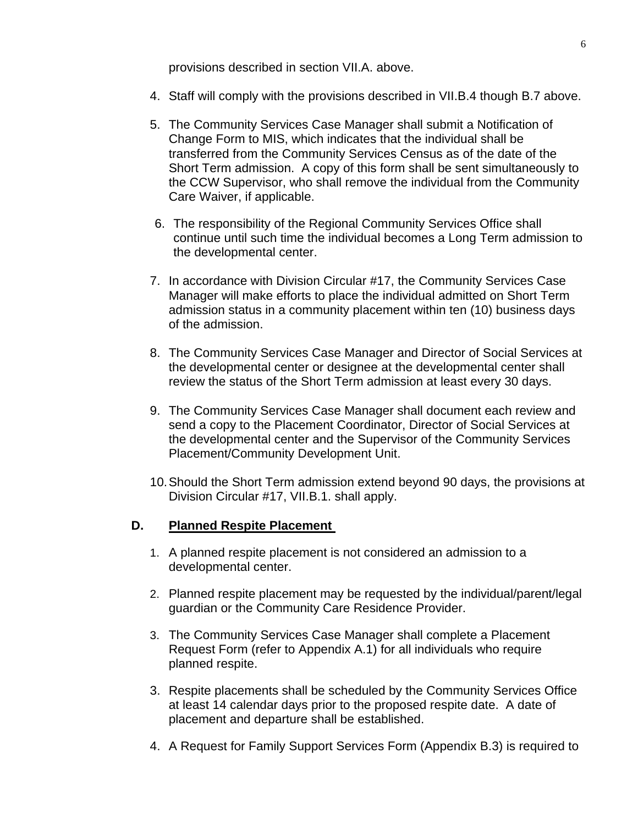provisions described in section VII.A. above.

- 4. Staff will comply with the provisions described in VII.B.4 though B.7 above.
- 5. The Community Services Case Manager shall submit a Notification of Change Form to MIS, which indicates that the individual shall be transferred from the Community Services Census as of the date of the Short Term admission. A copy of this form shall be sent simultaneously to the CCW Supervisor, who shall remove the individual from the Community Care Waiver, if applicable.
- 6. The responsibility of the Regional Community Services Office shall continue until such time the individual becomes a Long Term admission to the developmental center.
- 7. In accordance with Division Circular #17, the Community Services Case Manager will make efforts to place the individual admitted on Short Term admission status in a community placement within ten (10) business days of the admission.
- 8. The Community Services Case Manager and Director of Social Services at the developmental center or designee at the developmental center shall review the status of the Short Term admission at least every 30 days.
- 9. The Community Services Case Manager shall document each review and send a copy to the Placement Coordinator, Director of Social Services at the developmental center and the Supervisor of the Community Services Placement/Community Development Unit.
- 10. Should the Short Term admission extend beyond 90 days, the provisions at Division Circular #17, VII.B.1. shall apply.

#### **D. Planned Respite Placement**

- 1. A planned respite placement is not considered an admission to a developmental center.
- 2. Planned respite placement may be requested by the individual/parent/legal guardian or the Community Care Residence Provider.
- 3. The Community Services Case Manager shall complete a Placement Request Form (refer to Appendix A.1) for all individuals who require planned respite.
- 3. Respite placements shall be scheduled by the Community Services Office at least 14 calendar days prior to the proposed respite date. A date of placement and departure shall be established.
- 4. A Request for Family Support Services Form (Appendix B.3) is required to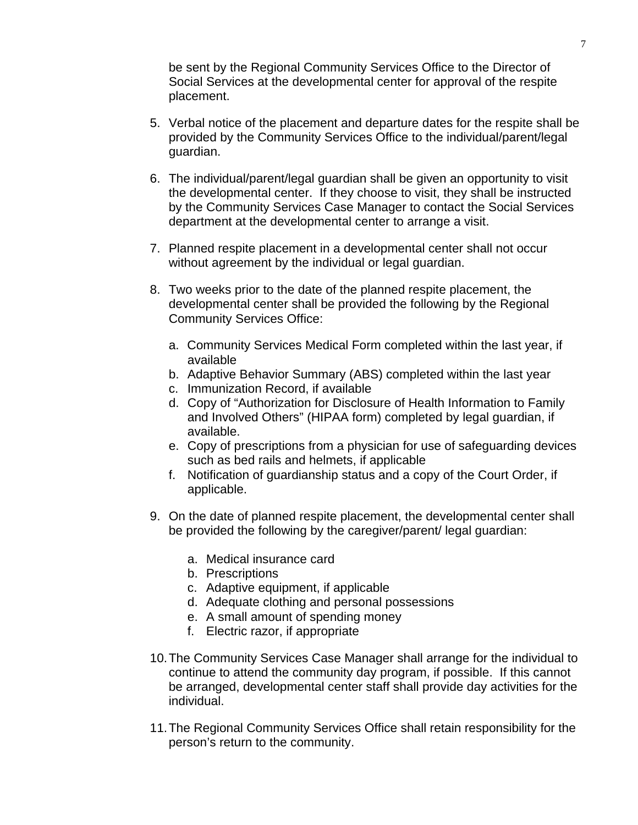be sent by the Regional Community Services Office to the Director of Social Services at the developmental center for approval of the respite placement.

- 5. Verbal notice of the placement and departure dates for the respite shall be provided by the Community Services Office to the individual/parent/legal guardian.
- 6. The individual/parent/legal guardian shall be given an opportunity to visit the developmental center. If they choose to visit, they shall be instructed by the Community Services Case Manager to contact the Social Services department at the developmental center to arrange a visit.
- 7. Planned respite placement in a developmental center shall not occur without agreement by the individual or legal guardian.
- 8. Two weeks prior to the date of the planned respite placement, the developmental center shall be provided the following by the Regional Community Services Office:
	- a. Community Services Medical Form completed within the last year, if available
	- b. Adaptive Behavior Summary (ABS) completed within the last year
	- c. Immunization Record, if available
	- d. Copy of "Authorization for Disclosure of Health Information to Family and Involved Others" (HIPAA form) completed by legal guardian, if available.
	- e. Copy of prescriptions from a physician for use of safeguarding devices such as bed rails and helmets, if applicable
	- f. Notification of guardianship status and a copy of the Court Order, if applicable.
- 9. On the date of planned respite placement, the developmental center shall be provided the following by the caregiver/parent/ legal guardian:
	- a. Medical insurance card
	- b. Prescriptions
	- c. Adaptive equipment, if applicable
	- d. Adequate clothing and personal possessions
	- e. A small amount of spending money
	- f. Electric razor, if appropriate
- 10. The Community Services Case Manager shall arrange for the individual to continue to attend the community day program, if possible. If this cannot be arranged, developmental center staff shall provide day activities for the individual.
- 11. The Regional Community Services Office shall retain responsibility for the person's return to the community.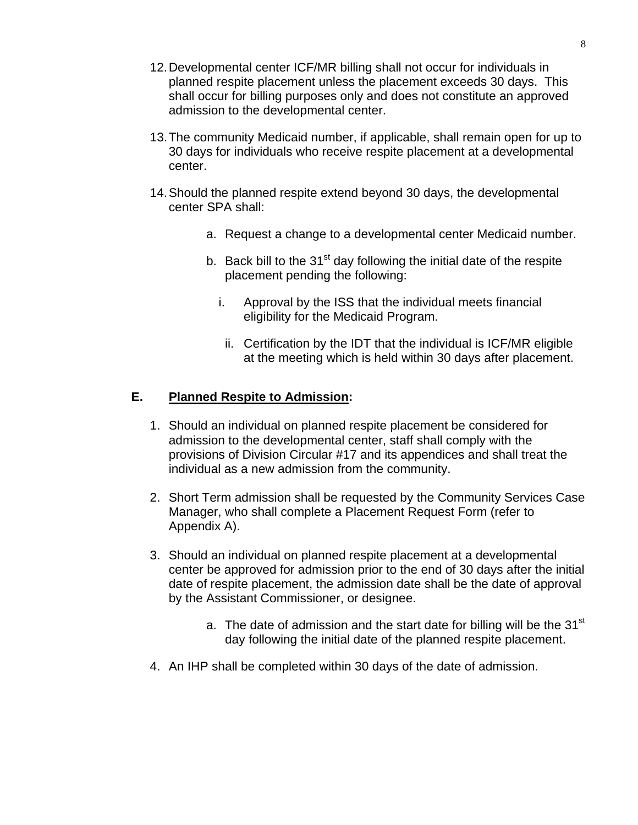- 12. Developmental center ICF/MR billing shall not occur for individuals in planned respite placement unless the placement exceeds 30 days. This shall occur for billing purposes only and does not constitute an approved admission to the developmental center.
- 13. The community Medicaid number, if applicable, shall remain open for up to 30 days for individuals who receive respite placement at a developmental center.
- 14. Should the planned respite extend beyond 30 days, the developmental center SPA shall:
	- a. Request a change to a developmental center Medicaid number.
	- b. Back bill to the  $31<sup>st</sup>$  day following the initial date of the respite placement pending the following:
		- i. Approval by the ISS that the individual meets financial eligibility for the Medicaid Program.
		- ii. Certification by the IDT that the individual is ICF/MR eligible at the meeting which is held within 30 days after placement.

# **E. Planned Respite to Admission:**

- 1. Should an individual on planned respite placement be considered for admission to the developmental center, staff shall comply with the provisions of Division Circular #17 and its appendices and shall treat the individual as a new admission from the community.
- 2. Short Term admission shall be requested by the Community Services Case Manager, who shall complete a Placement Request Form (refer to Appendix A).
- 3. Should an individual on planned respite placement at a developmental center be approved for admission prior to the end of 30 days after the initial date of respite placement, the admission date shall be the date of approval by the Assistant Commissioner, or designee.
	- a. The date of admission and the start date for billing will be the  $31<sup>st</sup>$ day following the initial date of the planned respite placement.
- 4. An IHP shall be completed within 30 days of the date of admission.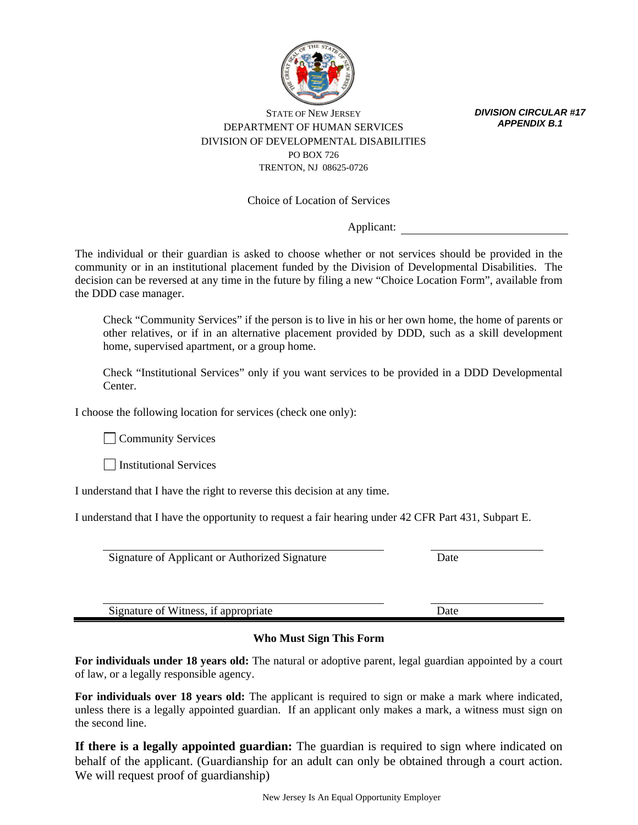

*DIVISION CIRCULAR #17 APPENDIX B.1*

STATE OF NEW JERSEY DEPARTMENT OF HUMAN SERVICES DIVISION OF DEVELOPMENTAL DISABILITIES PO BOX 726 TRENTON, NJ 08625-0726

Choice of Location of Services

Applicant:

The individual or their guardian is asked to choose whether or not services should be provided in the community or in an institutional placement funded by the Division of Developmental Disabilities. The decision can be reversed at any time in the future by filing a new "Choice Location Form", available from the DDD case manager.

 Check "Community Services" if the person is to live in his or her own home, the home of parents or other relatives, or if in an alternative placement provided by DDD, such as a skill development home, supervised apartment, or a group home.

 Check "Institutional Services" only if you want services to be provided in a DDD Developmental Center.

I choose the following location for services (check one only):

**Community Services** 

**Institutional Services** 

I understand that I have the right to reverse this decision at any time.

I understand that I have the opportunity to request a fair hearing under 42 CFR Part 431, Subpart E.

Signature of Applicant or Authorized Signature Date

Signature of Witness, if appropriate Date

#### **Who Must Sign This Form**

**For individuals under 18 years old:** The natural or adoptive parent, legal guardian appointed by a court of law, or a legally responsible agency.

**For individuals over 18 years old:** The applicant is required to sign or make a mark where indicated, unless there is a legally appointed guardian. If an applicant only makes a mark, a witness must sign on the second line.

**If there is a legally appointed guardian:** The guardian is required to sign where indicated on behalf of the applicant. (Guardianship for an adult can only be obtained through a court action. We will request proof of guardianship)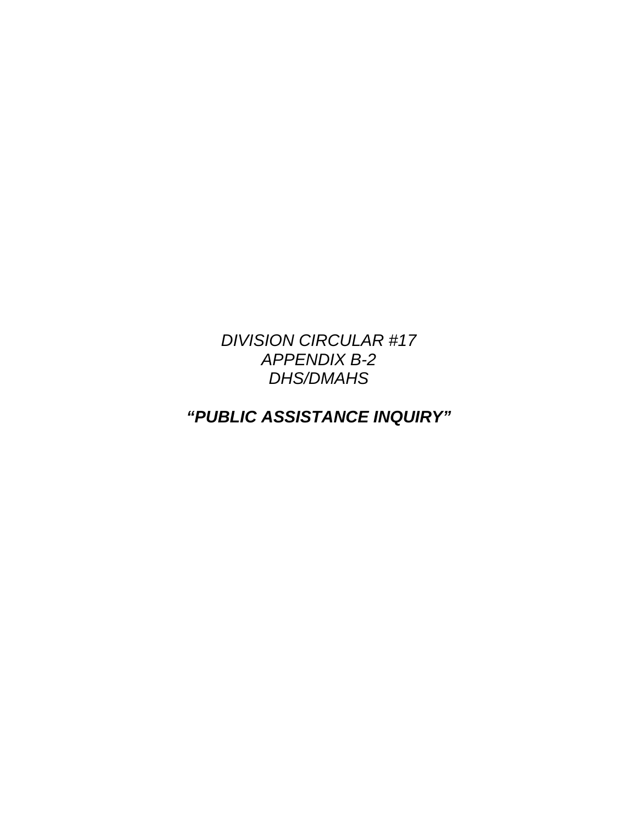# *DIVISION CIRCULAR #17 APPENDIX B-2 DHS/DMAHS*

*"PUBLIC ASSISTANCE INQUIRY"*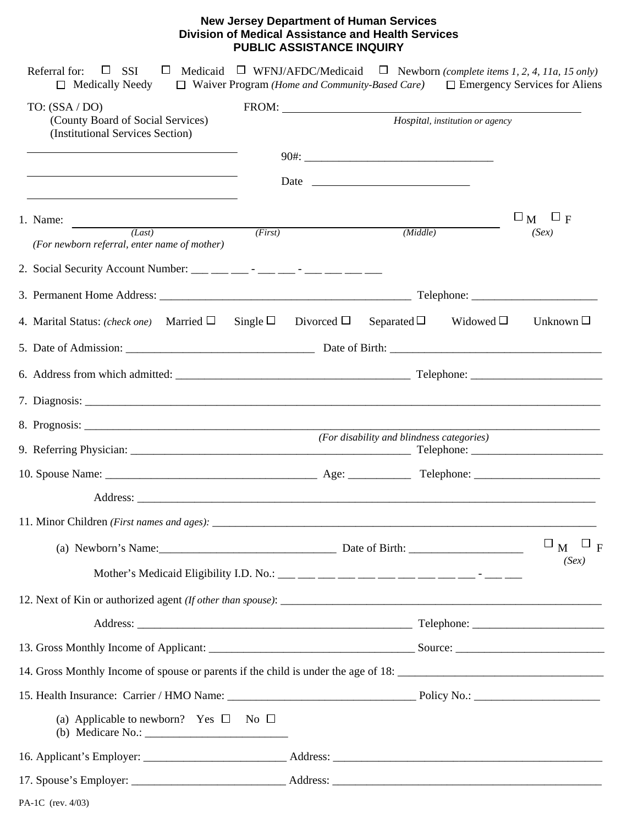#### **New Jersey Department of Human Services Division of Medical Assistance and Health Services PUBLIC ASSISTANCE INQUIRY**

| TO: $(SSA/DO)$<br>(County Board of Social Services)<br>(Institutional Services Section) |                                                | Hospital, institution or agency |                                             |
|-----------------------------------------------------------------------------------------|------------------------------------------------|---------------------------------|---------------------------------------------|
|                                                                                         |                                                |                                 |                                             |
|                                                                                         |                                                |                                 |                                             |
|                                                                                         |                                                |                                 | $\square_{\mathbf{M}}$<br>$\Box$ F          |
| 1. Name: $\frac{1}{(Last)}$<br>(First)<br>(For newborn referral, enter name of mother)  | (Middle)                                       |                                 | (Sex)                                       |
|                                                                                         |                                                |                                 |                                             |
|                                                                                         |                                                |                                 |                                             |
| 4. Marital Status: (check one) Married $\Box$                                           | Single $\Box$ Divorced $\Box$ Separated $\Box$ | Widowed $\square$               | Unknown $\Box$                              |
|                                                                                         |                                                |                                 |                                             |
|                                                                                         |                                                |                                 |                                             |
|                                                                                         |                                                |                                 |                                             |
|                                                                                         |                                                |                                 |                                             |
|                                                                                         | (For disability and blindness categories)      |                                 |                                             |
|                                                                                         |                                                |                                 |                                             |
|                                                                                         |                                                |                                 |                                             |
|                                                                                         |                                                |                                 |                                             |
|                                                                                         |                                                |                                 | $\square_{\mathbf{M}} \square_{\mathbf{F}}$ |
|                                                                                         |                                                |                                 | (Sex)                                       |
|                                                                                         |                                                |                                 |                                             |
|                                                                                         |                                                |                                 |                                             |
|                                                                                         |                                                |                                 |                                             |
| 14. Gross Monthly Income of spouse or parents if the child is under the age of 18:      |                                                |                                 |                                             |
|                                                                                         |                                                |                                 |                                             |
| (a) Applicable to newborn? Yes $\Box$ No $\Box$                                         |                                                |                                 |                                             |
|                                                                                         |                                                |                                 |                                             |
|                                                                                         |                                                |                                 |                                             |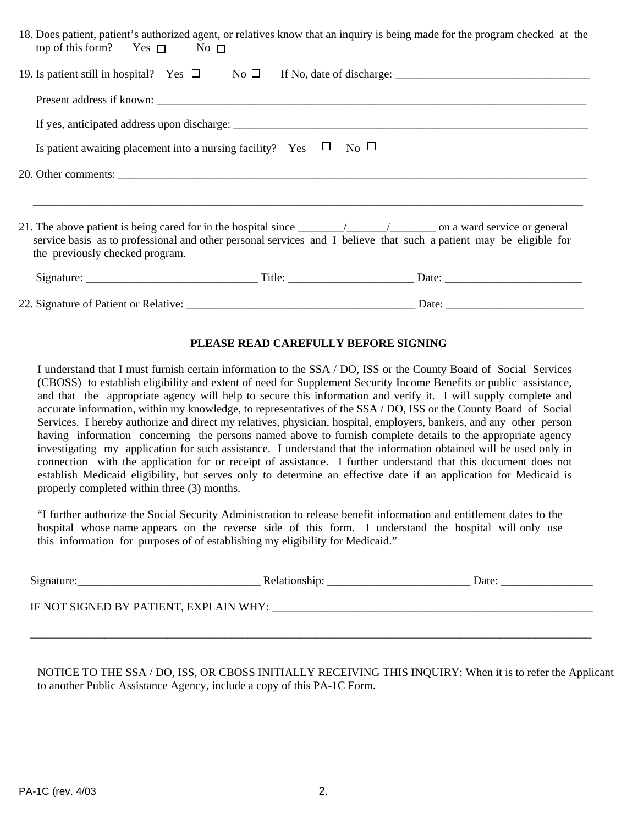| 18. Does patient, patient's authorized agent, or relatives know that an inquiry is being made for the program checked at the<br>top of this form? Yes $\Box$ No $\Box$ |                         |  |
|------------------------------------------------------------------------------------------------------------------------------------------------------------------------|-------------------------|--|
|                                                                                                                                                                        |                         |  |
|                                                                                                                                                                        |                         |  |
|                                                                                                                                                                        |                         |  |
| Is patient awaiting placement into a nursing facility? Yes $\Box$                                                                                                      | $\overline{N_0}$ $\Box$ |  |
|                                                                                                                                                                        |                         |  |
| service basis as to professional and other personal services and I believe that such a patient may be eligible for<br>the previously checked program.                  |                         |  |
|                                                                                                                                                                        |                         |  |
|                                                                                                                                                                        | $Data:$ $__________$    |  |

#### **PLEASE READ CAREFULLY BEFORE SIGNING**

I understand that I must furnish certain information to the SSA / DO, ISS or the County Board of Social Services (CBOSS) to establish eligibility and extent of need for Supplement Security Income Benefits or public assistance, and that the appropriate agency will help to secure this information and verify it. I will supply complete and accurate information, within my knowledge, to representatives of the SSA / DO, ISS or the County Board of Social Services. I hereby authorize and direct my relatives, physician, hospital, employers, bankers, and any other person having information concerning the persons named above to furnish complete details to the appropriate agency investigating my application for such assistance. I understand that the information obtained will be used only in connection with the application for or receipt of assistance. I further understand that this document does not establish Medicaid eligibility, but serves only to determine an effective date if an application for Medicaid is properly completed within three (3) months.

"I further authorize the Social Security Administration to release benefit information and entitlement dates to the hospital whose name appears on the reverse side of this form. I understand the hospital will only use this information for purposes of of establishing my eligibility for Medicaid."

| $S$ ignature:                          | Relationship: | Date: |
|----------------------------------------|---------------|-------|
| IF NOT SIGNED BY PATIENT, EXPLAIN WHY: |               |       |

 $\overline{\phantom{a}}$  , and the contribution of the contribution of the contribution of the contribution of the contribution of the contribution of the contribution of the contribution of the contribution of the contribution of the

NOTICE TO THE SSA / DO, ISS, OR CBOSS INITIALLY RECEIVING THIS INQUIRY: When it is to refer the Applicant to another Public Assistance Agency, include a copy of this PA-1C Form.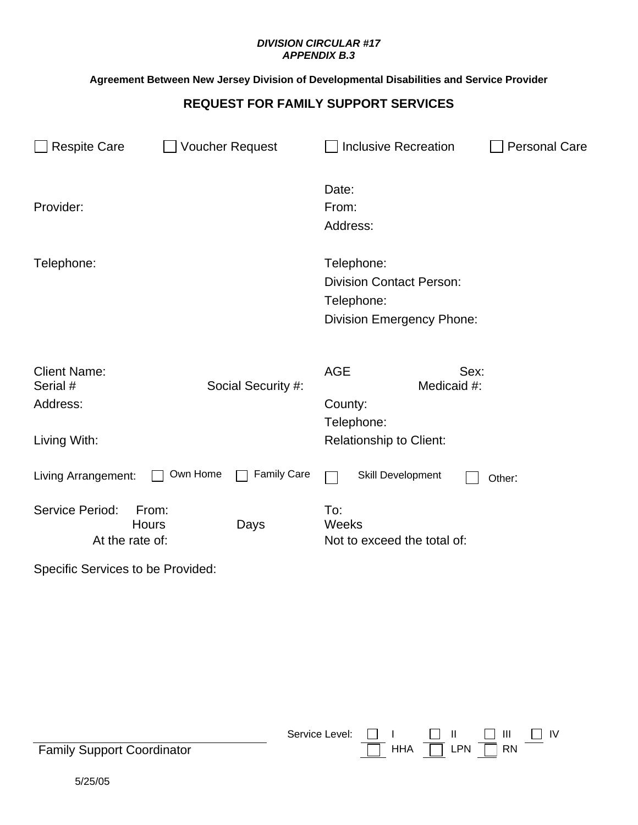#### *DIVISION CIRCULAR #17 APPENDIX B.3*

## **Agreement Between New Jersey Division of Developmental Disabilities and Service Provider**

## **REQUEST FOR FAMILY SUPPORT SERVICES**

| <b>Respite Care</b>                                         | <b>Voucher Request</b>         | <b>Inclusive Recreation</b>                                                                     | <b>Personal Care</b> |  |
|-------------------------------------------------------------|--------------------------------|-------------------------------------------------------------------------------------------------|----------------------|--|
| Provider:                                                   |                                | Date:<br>From:<br>Address:                                                                      |                      |  |
| Telephone:                                                  |                                | Telephone:<br><b>Division Contact Person:</b><br>Telephone:<br><b>Division Emergency Phone:</b> |                      |  |
| <b>Client Name:</b><br>Serial #<br>Address:<br>Living With: | Social Security #:             | <b>AGE</b><br>Sex:<br>Medicaid #:<br>County:<br>Telephone:<br><b>Relationship to Client:</b>    |                      |  |
| Living Arrangement:                                         | Own Home<br><b>Family Care</b> | Skill Development                                                                               | Other:               |  |
| Service Period:<br><b>Hours</b><br>At the rate of:          | From:<br>Days                  | To:<br>Weeks<br>Not to exceed the total of:                                                     |                      |  |

Specific Services to be Provided:

| <b>Family Support Coordinator</b> | Service Level: $\Box$ $\Box$ $\Box$ $\Box$ $\Box$ $\Box$ $\Box$ IV |  | HHA $\boxed{\phantom{1}}$ LPN $\boxed{\phantom{1}}$ RN $\phantom{1}$ |  |
|-----------------------------------|--------------------------------------------------------------------|--|----------------------------------------------------------------------|--|
| 5/25/05                           |                                                                    |  |                                                                      |  |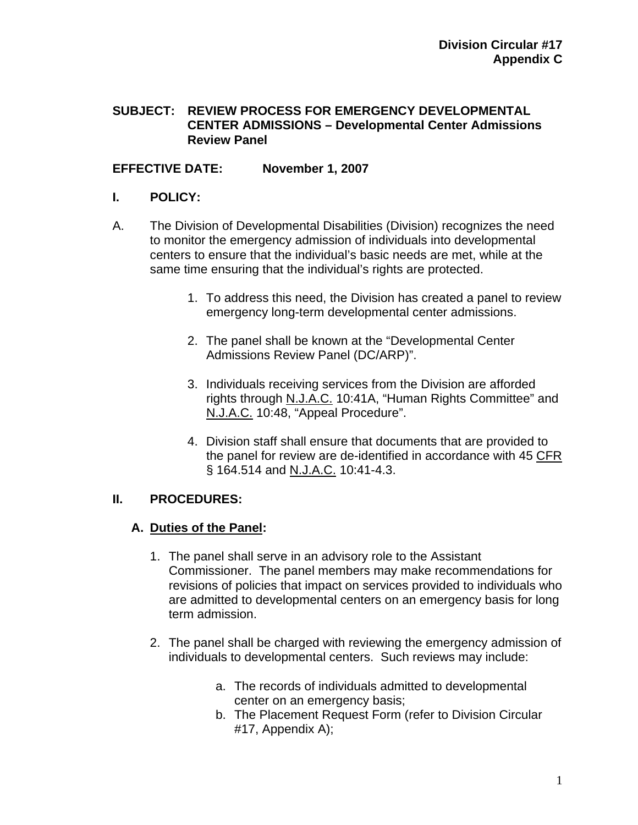#### **SUBJECT: REVIEW PROCESS FOR EMERGENCY DEVELOPMENTAL CENTER ADMISSIONS – Developmental Center Admissions Review Panel**

## **EFFECTIVE DATE: November 1, 2007**

#### **I. POLICY:**

- A. The Division of Developmental Disabilities (Division) recognizes the need to monitor the emergency admission of individuals into developmental centers to ensure that the individual's basic needs are met, while at the same time ensuring that the individual's rights are protected.
	- 1. To address this need, the Division has created a panel to review emergency long-term developmental center admissions.
	- 2. The panel shall be known at the "Developmental Center Admissions Review Panel (DC/ARP)".
	- 3. Individuals receiving services from the Division are afforded rights through N.J.A.C. 10:41A, "Human Rights Committee" and N.J.A.C. 10:48, "Appeal Procedure".
	- 4. Division staff shall ensure that documents that are provided to the panel for review are de-identified in accordance with 45 CFR § 164.514 and N.J.A.C. 10:41-4.3.

## **II. PROCEDURES:**

## **A. Duties of the Panel:**

- 1. The panel shall serve in an advisory role to the Assistant Commissioner. The panel members may make recommendations for revisions of policies that impact on services provided to individuals who are admitted to developmental centers on an emergency basis for long term admission.
- 2. The panel shall be charged with reviewing the emergency admission of individuals to developmental centers. Such reviews may include:
	- a. The records of individuals admitted to developmental center on an emergency basis;
	- b. The Placement Request Form (refer to Division Circular #17, Appendix A);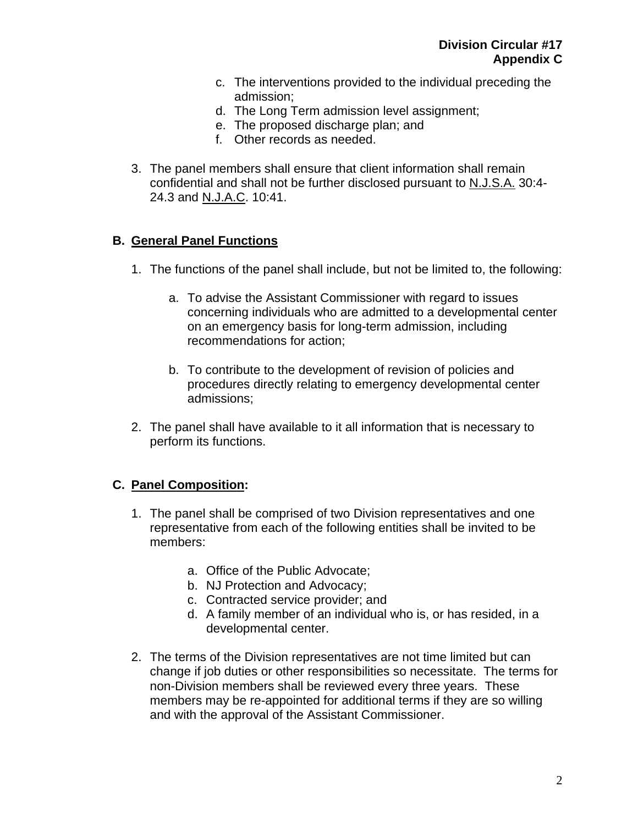- c. The interventions provided to the individual preceding the admission;
- d. The Long Term admission level assignment;
- e. The proposed discharge plan; and
- f. Other records as needed.
- 3. The panel members shall ensure that client information shall remain confidential and shall not be further disclosed pursuant to N.J.S.A. 30:4- 24.3 and N.J.A.C. 10:41.

## **B. General Panel Functions**

- 1. The functions of the panel shall include, but not be limited to, the following:
	- a. To advise the Assistant Commissioner with regard to issues concerning individuals who are admitted to a developmental center on an emergency basis for long-term admission, including recommendations for action;
	- b. To contribute to the development of revision of policies and procedures directly relating to emergency developmental center admissions;
- 2. The panel shall have available to it all information that is necessary to perform its functions.

# **C. Panel Composition:**

- 1. The panel shall be comprised of two Division representatives and one representative from each of the following entities shall be invited to be members:
	- a. Office of the Public Advocate;
	- b. NJ Protection and Advocacy;
	- c. Contracted service provider; and
	- d. A family member of an individual who is, or has resided, in a developmental center.
- 2. The terms of the Division representatives are not time limited but can change if job duties or other responsibilities so necessitate. The terms for non-Division members shall be reviewed every three years. These members may be re-appointed for additional terms if they are so willing and with the approval of the Assistant Commissioner.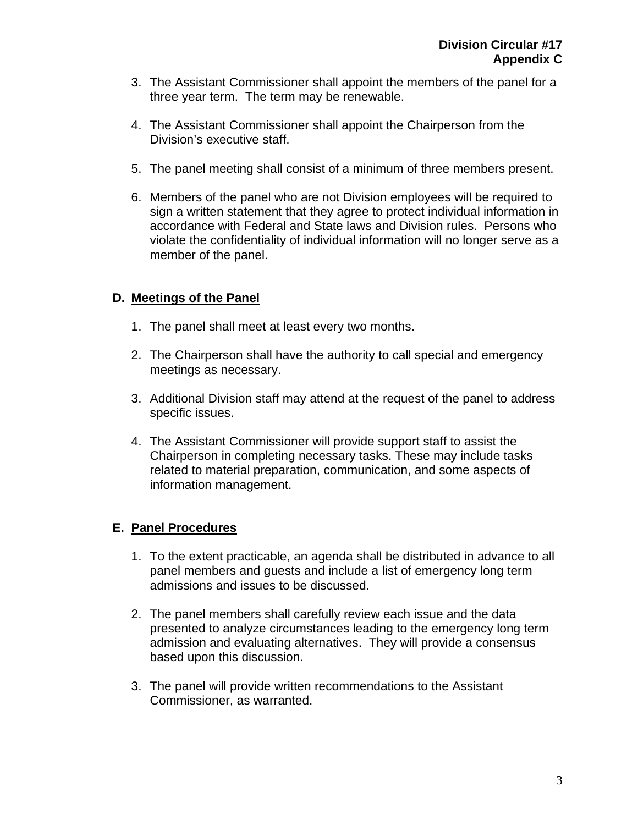- 3. The Assistant Commissioner shall appoint the members of the panel for a three year term. The term may be renewable.
- 4. The Assistant Commissioner shall appoint the Chairperson from the Division's executive staff.
- 5. The panel meeting shall consist of a minimum of three members present.
- 6. Members of the panel who are not Division employees will be required to sign a written statement that they agree to protect individual information in accordance with Federal and State laws and Division rules. Persons who violate the confidentiality of individual information will no longer serve as a member of the panel.

# **D. Meetings of the Panel**

- 1. The panel shall meet at least every two months.
- 2. The Chairperson shall have the authority to call special and emergency meetings as necessary.
- 3. Additional Division staff may attend at the request of the panel to address specific issues.
- 4. The Assistant Commissioner will provide support staff to assist the Chairperson in completing necessary tasks. These may include tasks related to material preparation, communication, and some aspects of information management.

# **E. Panel Procedures**

- 1. To the extent practicable, an agenda shall be distributed in advance to all panel members and guests and include a list of emergency long term admissions and issues to be discussed.
- 2. The panel members shall carefully review each issue and the data presented to analyze circumstances leading to the emergency long term admission and evaluating alternatives. They will provide a consensus based upon this discussion.
- 3. The panel will provide written recommendations to the Assistant Commissioner, as warranted.